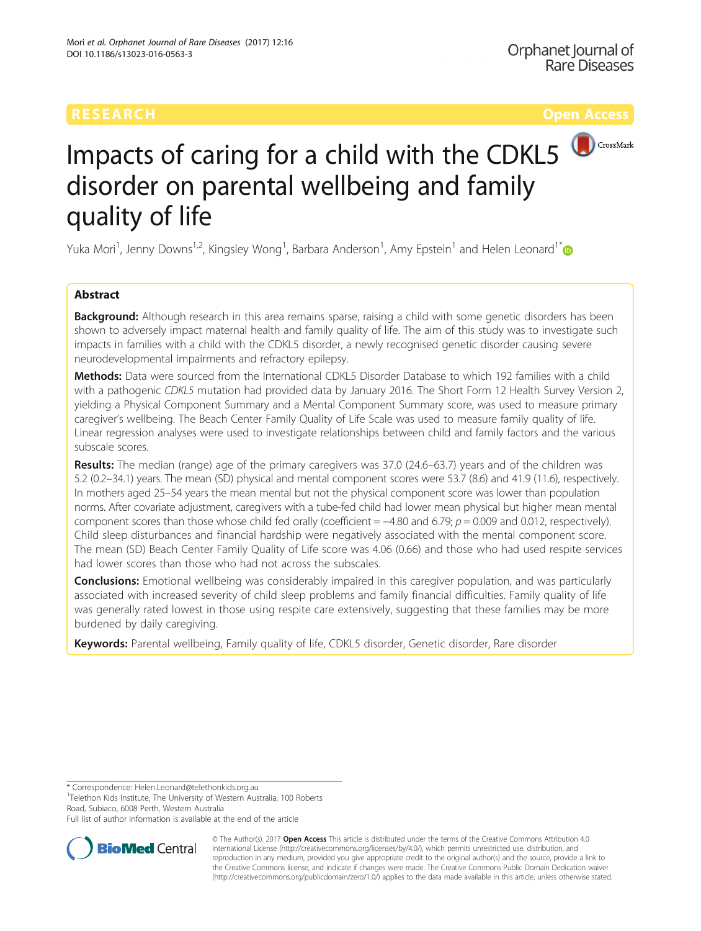# RESEARCH **RESEARCH CONSUMING THE CONSUMING THE CONSUMING TENS**



# Impacts of caring for a child with the CDKL5 disorder on parental wellbeing and family quality of life

Yuka Mori<sup>1</sup>, Jenny Downs<sup>1,2</sup>, Kingsley Wong<sup>1</sup>, Barbara Anderson<sup>1</sup>, Amy Epstein<sup>1</sup> and Helen Leonard<sup>1[\\*](http://orcid.org/0000-0001-6405-5834)</sup>

# Abstract

**Background:** Although research in this area remains sparse, raising a child with some genetic disorders has been shown to adversely impact maternal health and family quality of life. The aim of this study was to investigate such impacts in families with a child with the CDKL5 disorder, a newly recognised genetic disorder causing severe neurodevelopmental impairments and refractory epilepsy.

Methods: Data were sourced from the International CDKL5 Disorder Database to which 192 families with a child with a pathogenic CDKL5 mutation had provided data by January 2016. The Short Form 12 Health Survey Version 2, yielding a Physical Component Summary and a Mental Component Summary score, was used to measure primary caregiver's wellbeing. The Beach Center Family Quality of Life Scale was used to measure family quality of life. Linear regression analyses were used to investigate relationships between child and family factors and the various subscale scores.

Results: The median (range) age of the primary caregivers was 37.0 (24.6–63.7) years and of the children was 5.2 (0.2–34.1) years. The mean (SD) physical and mental component scores were 53.7 (8.6) and 41.9 (11.6), respectively. In mothers aged 25–54 years the mean mental but not the physical component score was lower than population norms. After covariate adjustment, caregivers with a tube-fed child had lower mean physical but higher mean mental component scores than those whose child fed orally (coefficient =  $-4.80$  and 6.79;  $p = 0.009$  and 0.012, respectively). Child sleep disturbances and financial hardship were negatively associated with the mental component score. The mean (SD) Beach Center Family Quality of Life score was 4.06 (0.66) and those who had used respite services had lower scores than those who had not across the subscales.

**Conclusions:** Emotional wellbeing was considerably impaired in this caregiver population, and was particularly associated with increased severity of child sleep problems and family financial difficulties. Family quality of life was generally rated lowest in those using respite care extensively, suggesting that these families may be more burdened by daily caregiving.

Keywords: Parental wellbeing, Family quality of life, CDKL5 disorder, Genetic disorder, Rare disorder

\* Correspondence: [Helen.Leonard@telethonkids.org.au](mailto:Helen.Leonard@telethonkids.org.au) <sup>1</sup> <sup>1</sup>Telethon Kids Institute, The University of Western Australia, 100 Roberts

Road, Subiaco, 6008 Perth, Western Australia

Full list of author information is available at the end of the article



© The Author(s). 2017 **Open Access** This article is distributed under the terms of the Creative Commons Attribution 4.0 International License [\(http://creativecommons.org/licenses/by/4.0/](http://creativecommons.org/licenses/by/4.0/)), which permits unrestricted use, distribution, and reproduction in any medium, provided you give appropriate credit to the original author(s) and the source, provide a link to the Creative Commons license, and indicate if changes were made. The Creative Commons Public Domain Dedication waiver [\(http://creativecommons.org/publicdomain/zero/1.0/](http://creativecommons.org/publicdomain/zero/1.0/)) applies to the data made available in this article, unless otherwise stated.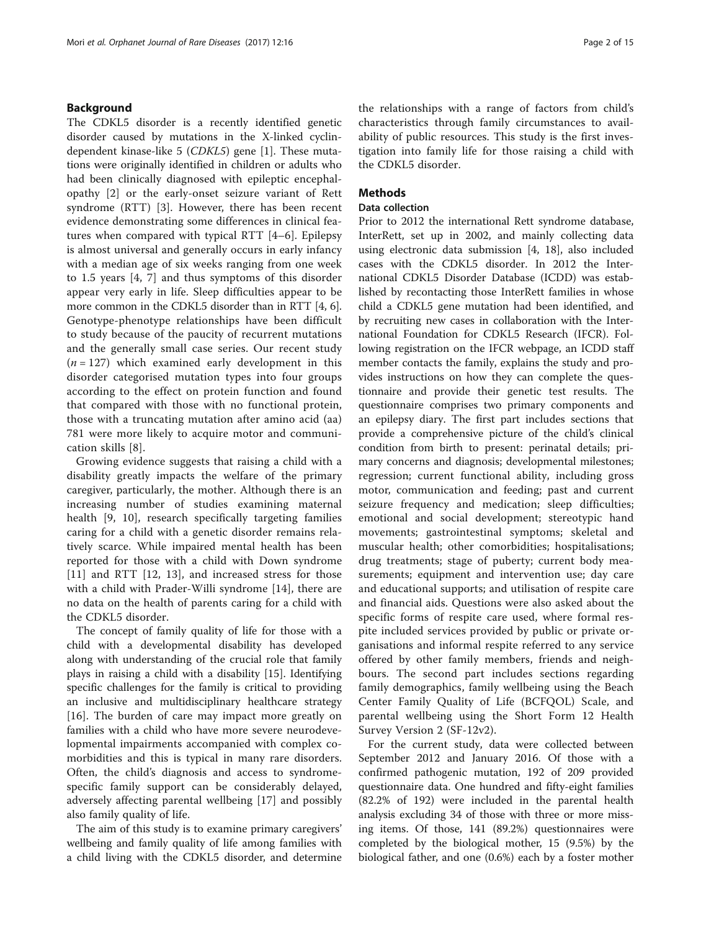# Background

The CDKL5 disorder is a recently identified genetic disorder caused by mutations in the X-linked cyclindependent kinase-like 5 (CDKL5) gene [\[1](#page-13-0)]. These mutations were originally identified in children or adults who had been clinically diagnosed with epileptic encephalopathy [\[2](#page-13-0)] or the early-onset seizure variant of Rett syndrome (RTT) [\[3](#page-13-0)]. However, there has been recent evidence demonstrating some differences in clinical features when compared with typical RTT [\[4](#page-13-0)–[6](#page-13-0)]. Epilepsy is almost universal and generally occurs in early infancy with a median age of six weeks ranging from one week to 1.5 years [[4, 7\]](#page-13-0) and thus symptoms of this disorder appear very early in life. Sleep difficulties appear to be more common in the CDKL5 disorder than in RTT [[4, 6](#page-13-0)]. Genotype-phenotype relationships have been difficult to study because of the paucity of recurrent mutations and the generally small case series. Our recent study  $(n = 127)$  which examined early development in this disorder categorised mutation types into four groups according to the effect on protein function and found that compared with those with no functional protein, those with a truncating mutation after amino acid (aa) 781 were more likely to acquire motor and communication skills [[8\]](#page-13-0).

Growing evidence suggests that raising a child with a disability greatly impacts the welfare of the primary caregiver, particularly, the mother. Although there is an increasing number of studies examining maternal health [\[9](#page-13-0), [10\]](#page-13-0), research specifically targeting families caring for a child with a genetic disorder remains relatively scarce. While impaired mental health has been reported for those with a child with Down syndrome [[11\]](#page-13-0) and RTT [\[12](#page-13-0), [13](#page-13-0)], and increased stress for those with a child with Prader-Willi syndrome [\[14](#page-13-0)], there are no data on the health of parents caring for a child with the CDKL5 disorder.

The concept of family quality of life for those with a child with a developmental disability has developed along with understanding of the crucial role that family plays in raising a child with a disability [[15\]](#page-13-0). Identifying specific challenges for the family is critical to providing an inclusive and multidisciplinary healthcare strategy [[16\]](#page-13-0). The burden of care may impact more greatly on families with a child who have more severe neurodevelopmental impairments accompanied with complex comorbidities and this is typical in many rare disorders. Often, the child's diagnosis and access to syndromespecific family support can be considerably delayed, adversely affecting parental wellbeing [[17\]](#page-13-0) and possibly also family quality of life.

The aim of this study is to examine primary caregivers' wellbeing and family quality of life among families with a child living with the CDKL5 disorder, and determine the relationships with a range of factors from child's characteristics through family circumstances to availability of public resources. This study is the first investigation into family life for those raising a child with the CDKL5 disorder.

# **Methods**

# Data collection

Prior to 2012 the international Rett syndrome database, InterRett, set up in 2002, and mainly collecting data using electronic data submission [\[4](#page-13-0), [18\]](#page-13-0), also included cases with the CDKL5 disorder. In 2012 the International CDKL5 Disorder Database (ICDD) was established by recontacting those InterRett families in whose child a CDKL5 gene mutation had been identified, and by recruiting new cases in collaboration with the International Foundation for CDKL5 Research (IFCR). Following registration on the IFCR webpage, an ICDD staff member contacts the family, explains the study and provides instructions on how they can complete the questionnaire and provide their genetic test results. The questionnaire comprises two primary components and an epilepsy diary. The first part includes sections that provide a comprehensive picture of the child's clinical condition from birth to present: perinatal details; primary concerns and diagnosis; developmental milestones; regression; current functional ability, including gross motor, communication and feeding; past and current seizure frequency and medication; sleep difficulties; emotional and social development; stereotypic hand movements; gastrointestinal symptoms; skeletal and muscular health; other comorbidities; hospitalisations; drug treatments; stage of puberty; current body measurements; equipment and intervention use; day care and educational supports; and utilisation of respite care and financial aids. Questions were also asked about the specific forms of respite care used, where formal respite included services provided by public or private organisations and informal respite referred to any service offered by other family members, friends and neighbours. The second part includes sections regarding family demographics, family wellbeing using the Beach Center Family Quality of Life (BCFQOL) Scale, and parental wellbeing using the Short Form 12 Health Survey Version 2 (SF-12v2).

For the current study, data were collected between September 2012 and January 2016. Of those with a confirmed pathogenic mutation, 192 of 209 provided questionnaire data. One hundred and fifty-eight families (82.2% of 192) were included in the parental health analysis excluding 34 of those with three or more missing items. Of those, 141 (89.2%) questionnaires were completed by the biological mother, 15 (9.5%) by the biological father, and one (0.6%) each by a foster mother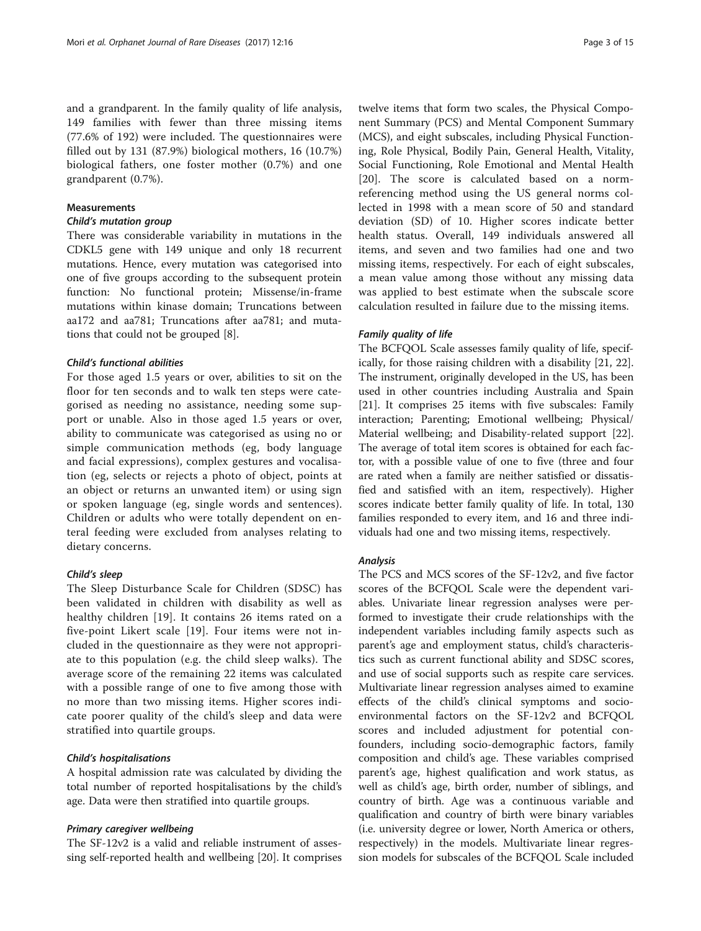and a grandparent. In the family quality of life analysis, 149 families with fewer than three missing items (77.6% of 192) were included. The questionnaires were filled out by 131 (87.9%) biological mothers, 16 (10.7%) biological fathers, one foster mother (0.7%) and one grandparent (0.7%).

# Measurements

# Child's mutation group

There was considerable variability in mutations in the CDKL5 gene with 149 unique and only 18 recurrent mutations. Hence, every mutation was categorised into one of five groups according to the subsequent protein function: No functional protein; Missense/in-frame mutations within kinase domain; Truncations between aa172 and aa781; Truncations after aa781; and mutations that could not be grouped [[8\]](#page-13-0).

# Child's functional abilities

For those aged 1.5 years or over, abilities to sit on the floor for ten seconds and to walk ten steps were categorised as needing no assistance, needing some support or unable. Also in those aged 1.5 years or over, ability to communicate was categorised as using no or simple communication methods (eg, body language and facial expressions), complex gestures and vocalisation (eg, selects or rejects a photo of object, points at an object or returns an unwanted item) or using sign or spoken language (eg, single words and sentences). Children or adults who were totally dependent on enteral feeding were excluded from analyses relating to dietary concerns.

# Child's sleep

The Sleep Disturbance Scale for Children (SDSC) has been validated in children with disability as well as healthy children [[19\]](#page-13-0). It contains 26 items rated on a five-point Likert scale [\[19](#page-13-0)]. Four items were not included in the questionnaire as they were not appropriate to this population (e.g. the child sleep walks). The average score of the remaining 22 items was calculated with a possible range of one to five among those with no more than two missing items. Higher scores indicate poorer quality of the child's sleep and data were stratified into quartile groups.

# Child's hospitalisations

A hospital admission rate was calculated by dividing the total number of reported hospitalisations by the child's age. Data were then stratified into quartile groups.

# Primary caregiver wellbeing

The SF-12v2 is a valid and reliable instrument of assessing self-reported health and wellbeing [[20\]](#page-13-0). It comprises

twelve items that form two scales, the Physical Component Summary (PCS) and Mental Component Summary (MCS), and eight subscales, including Physical Functioning, Role Physical, Bodily Pain, General Health, Vitality, Social Functioning, Role Emotional and Mental Health [[20\]](#page-13-0). The score is calculated based on a normreferencing method using the US general norms collected in 1998 with a mean score of 50 and standard deviation (SD) of 10. Higher scores indicate better health status. Overall, 149 individuals answered all items, and seven and two families had one and two missing items, respectively. For each of eight subscales, a mean value among those without any missing data was applied to best estimate when the subscale score calculation resulted in failure due to the missing items.

# Family quality of life

The BCFQOL Scale assesses family quality of life, specifically, for those raising children with a disability [\[21](#page-13-0), [22](#page-13-0)]. The instrument, originally developed in the US, has been used in other countries including Australia and Spain [[21\]](#page-13-0). It comprises 25 items with five subscales: Family interaction; Parenting; Emotional wellbeing; Physical/ Material wellbeing; and Disability-related support [\[22](#page-13-0)]. The average of total item scores is obtained for each factor, with a possible value of one to five (three and four are rated when a family are neither satisfied or dissatisfied and satisfied with an item, respectively). Higher scores indicate better family quality of life. In total, 130 families responded to every item, and 16 and three individuals had one and two missing items, respectively.

# Analysis

The PCS and MCS scores of the SF-12v2, and five factor scores of the BCFQOL Scale were the dependent variables. Univariate linear regression analyses were performed to investigate their crude relationships with the independent variables including family aspects such as parent's age and employment status, child's characteristics such as current functional ability and SDSC scores, and use of social supports such as respite care services. Multivariate linear regression analyses aimed to examine effects of the child's clinical symptoms and socioenvironmental factors on the SF-12v2 and BCFQOL scores and included adjustment for potential confounders, including socio-demographic factors, family composition and child's age. These variables comprised parent's age, highest qualification and work status, as well as child's age, birth order, number of siblings, and country of birth. Age was a continuous variable and qualification and country of birth were binary variables (i.e. university degree or lower, North America or others, respectively) in the models. Multivariate linear regression models for subscales of the BCFQOL Scale included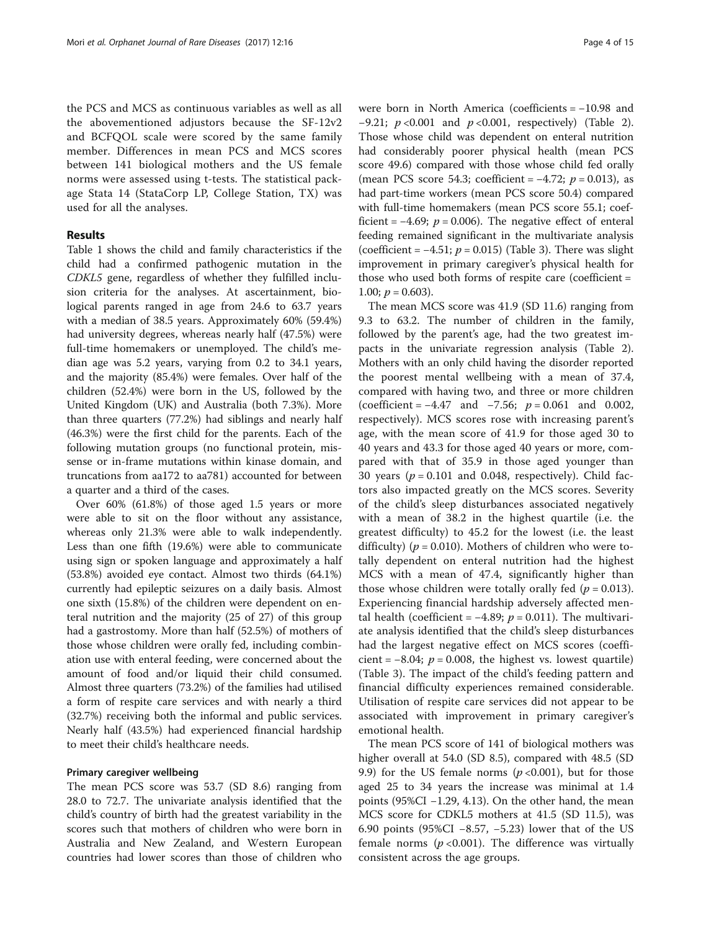the PCS and MCS as continuous variables as well as all the abovementioned adjustors because the SF-12v2 and BCFQOL scale were scored by the same family member. Differences in mean PCS and MCS scores between 141 biological mothers and the US female norms were assessed using t-tests. The statistical package Stata 14 (StataCorp LP, College Station, TX) was used for all the analyses.

# Results

Table [1](#page-4-0) shows the child and family characteristics if the child had a confirmed pathogenic mutation in the CDKL5 gene, regardless of whether they fulfilled inclusion criteria for the analyses. At ascertainment, biological parents ranged in age from 24.6 to 63.7 years with a median of 38.5 years. Approximately 60% (59.4%) had university degrees, whereas nearly half (47.5%) were full-time homemakers or unemployed. The child's median age was 5.2 years, varying from 0.2 to 34.1 years, and the majority (85.4%) were females. Over half of the children (52.4%) were born in the US, followed by the United Kingdom (UK) and Australia (both 7.3%). More than three quarters (77.2%) had siblings and nearly half (46.3%) were the first child for the parents. Each of the following mutation groups (no functional protein, missense or in-frame mutations within kinase domain, and truncations from aa172 to aa781) accounted for between a quarter and a third of the cases.

Over 60% (61.8%) of those aged 1.5 years or more were able to sit on the floor without any assistance, whereas only 21.3% were able to walk independently. Less than one fifth (19.6%) were able to communicate using sign or spoken language and approximately a half (53.8%) avoided eye contact. Almost two thirds (64.1%) currently had epileptic seizures on a daily basis. Almost one sixth (15.8%) of the children were dependent on enteral nutrition and the majority (25 of 27) of this group had a gastrostomy. More than half (52.5%) of mothers of those whose children were orally fed, including combination use with enteral feeding, were concerned about the amount of food and/or liquid their child consumed. Almost three quarters (73.2%) of the families had utilised a form of respite care services and with nearly a third (32.7%) receiving both the informal and public services. Nearly half (43.5%) had experienced financial hardship to meet their child's healthcare needs.

# Primary caregiver wellbeing

The mean PCS score was 53.7 (SD 8.6) ranging from 28.0 to 72.7. The univariate analysis identified that the child's country of birth had the greatest variability in the scores such that mothers of children who were born in Australia and New Zealand, and Western European countries had lower scores than those of children who

were born in North America (coefficients = −10.98 and −9.21;  $p$  <0.001 and  $p$  <0.001, respectively) (Table [2](#page-5-0)). Those whose child was dependent on enteral nutrition had considerably poorer physical health (mean PCS score 49.6) compared with those whose child fed orally (mean PCS score 54.3; coefficient =  $-4.72$ ;  $p = 0.013$ ), as had part-time workers (mean PCS score 50.4) compared with full-time homemakers (mean PCS score 55.1; coefficient =  $-4.69$ ;  $p = 0.006$ ). The negative effect of enteral feeding remained significant in the multivariate analysis (coefficient =  $-4.51$ ;  $p = 0.015$ ) (Table [3](#page-7-0)). There was slight improvement in primary caregiver's physical health for those who used both forms of respite care (coefficient = 1.00;  $p = 0.603$ ).

The mean MCS score was 41.9 (SD 11.6) ranging from 9.3 to 63.2. The number of children in the family, followed by the parent's age, had the two greatest impacts in the univariate regression analysis (Table [2](#page-5-0)). Mothers with an only child having the disorder reported the poorest mental wellbeing with a mean of 37.4, compared with having two, and three or more children (coefficient =  $-4.47$  and  $-7.56$ ;  $p = 0.061$  and 0.002, respectively). MCS scores rose with increasing parent's age, with the mean score of 41.9 for those aged 30 to 40 years and 43.3 for those aged 40 years or more, compared with that of 35.9 in those aged younger than 30 years ( $p = 0.101$  and 0.048, respectively). Child factors also impacted greatly on the MCS scores. Severity of the child's sleep disturbances associated negatively with a mean of 38.2 in the highest quartile (i.e. the greatest difficulty) to 45.2 for the lowest (i.e. the least difficulty) ( $p = 0.010$ ). Mothers of children who were totally dependent on enteral nutrition had the highest MCS with a mean of 47.4, significantly higher than those whose children were totally orally fed ( $p = 0.013$ ). Experiencing financial hardship adversely affected mental health (coefficient =  $-4.89$ ;  $p = 0.011$ ). The multivariate analysis identified that the child's sleep disturbances had the largest negative effect on MCS scores (coefficient =  $-8.04$ ;  $p = 0.008$ , the highest vs. lowest quartile) (Table [3\)](#page-7-0). The impact of the child's feeding pattern and financial difficulty experiences remained considerable. Utilisation of respite care services did not appear to be associated with improvement in primary caregiver's emotional health.

The mean PCS score of 141 of biological mothers was higher overall at 54.0 (SD 8.5), compared with 48.5 (SD 9.9) for the US female norms ( $p < 0.001$ ), but for those aged 25 to 34 years the increase was minimal at 1.4 points (95%CI −1.29, 4.13). On the other hand, the mean MCS score for CDKL5 mothers at 41.5 (SD 11.5), was 6.90 points (95%CI −8.57, −5.23) lower that of the US female norms ( $p < 0.001$ ). The difference was virtually consistent across the age groups.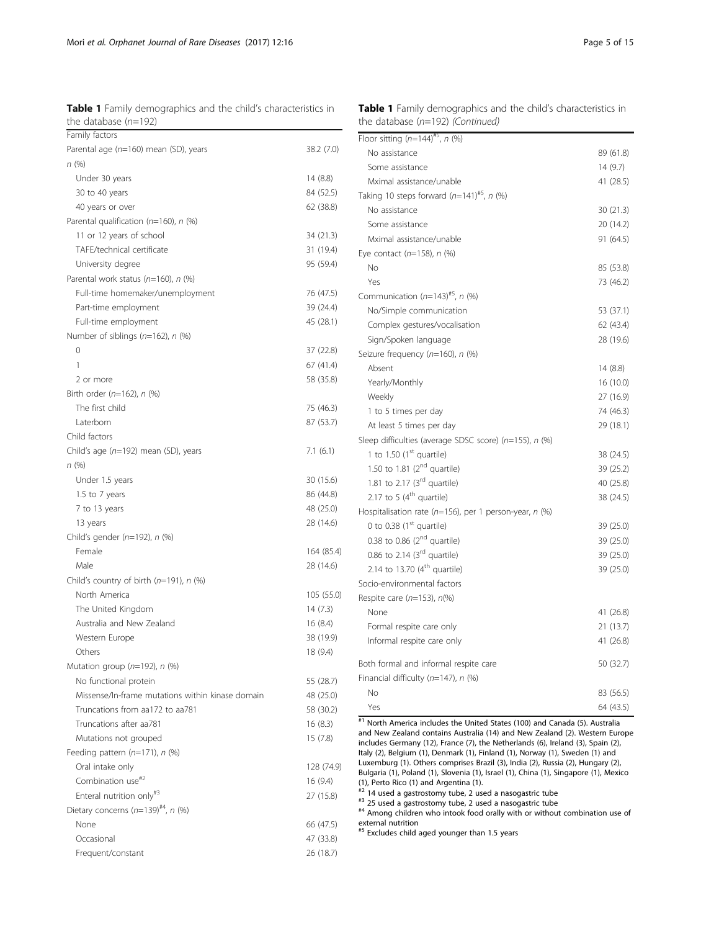<span id="page-4-0"></span>Table 1 Family demographics and the child's characteristics in the database  $(n=192)$ 

| Family factors                                   |            |
|--------------------------------------------------|------------|
| Parental age (n=160) mean (SD), years            | 38.2 (7.0) |
| n (%)                                            |            |
| Under 30 years                                   | 14 (8.8)   |
| 30 to 40 years                                   | 84 (52.5)  |
| 40 years or over                                 | 62 (38.8)  |
| Parental qualification ( $n=160$ ), n (%)        |            |
| 11 or 12 years of school                         | 34 (21.3)  |
| TAFE/technical certificate                       | 31 (19.4)  |
| University degree                                | 95 (59.4)  |
| Parental work status (n=160), n (%)              |            |
| Full-time homemaker/unemployment                 | 76 (47.5)  |
| Part-time employment                             | 39 (24.4)  |
| Full-time employment                             | 45 (28.1)  |
| Number of siblings $(n=162)$ , n $(\%)$          |            |
| 0                                                | 37 (22.8)  |
| 1                                                | 67 (41.4)  |
| 2 or more                                        | 58 (35.8)  |
| Birth order $(n=162)$ , n $(%)$                  |            |
| The first child                                  | 75 (46.3)  |
| I aterborn                                       | 87 (53.7)  |
| Child factors                                    |            |
| Child's age (n=192) mean (SD), years             | 7.1(6.1)   |
| n (%)                                            |            |
| Under 1.5 years                                  | 30 (15.6)  |
| 1.5 to 7 years                                   | 86 (44.8)  |
| 7 to 13 years                                    | 48 (25.0)  |
| 13 years                                         | 28 (14.6)  |
| Child's gender $(n=192)$ , n $(\%)$              |            |
| Female                                           | 164 (85.4) |
| Male                                             | 28 (14.6)  |
| Child's country of birth ( $n=191$ ), $n$ (%)    |            |
| North America                                    | 105 (55.0) |
| The United Kingdom                               | 14(7.3)    |
| Australia and New Zealand                        | 16(8.4)    |
| Western Europe                                   | 38 (19.9)  |
| Others                                           | 18 (9.4)   |
| Mutation group (n=192), n (%)                    |            |
| No functional protein                            | 55 (28.7)  |
| Missense/In-frame mutations within kinase domain | 48 (25.0)  |
| Truncations from aa172 to aa781                  | 58 (30.2)  |
| Truncations after aa781                          | 16(8.3)    |
| Mutations not grouped                            | 15(7.8)    |
| Feeding pattern $(n=171)$ , n $(\%)$             |            |
| Oral intake only                                 | 128 (74.9) |
| Combination use <sup>#2</sup>                    | 16 (9.4)   |
| Enteral nutrition only <sup>#3</sup>             | 27 (15.8)  |
| Dietary concerns $(n=139)^{#4}$ , n (%)          |            |
| None                                             | 66 (47.5)  |
| Occasional                                       | 47 (33.8)  |
| Frequent/constant                                | 26 (18.7)  |
|                                                  |            |

| No assistance                                                | 89 (61.8) |
|--------------------------------------------------------------|-----------|
| Some assistance                                              | 14 (9.7)  |
| Mximal assistance/unable                                     | 41 (28.5) |
| Taking 10 steps forward $(n=141)^{#5}$ , n (%)               |           |
| No assistance                                                | 30(21.3)  |
| Some assistance                                              | 20 (14.2) |
| Mximal assistance/unable                                     | 91 (64.5) |
| Eye contact $(n=158)$ , n $(\%)$                             |           |
| No                                                           | 85 (53.8) |
| Yes                                                          | 73 (46.2) |
| Communication $(n=143)^{#5}$ , n (%)                         |           |
| No/Simple communication                                      | 53 (37.1) |
| Complex gestures/vocalisation                                | 62 (43.4) |
| Sign/Spoken language                                         | 28 (19.6) |
| Seizure frequency ( $n=160$ ), n (%)                         |           |
| Absent                                                       | 14 (8.8)  |
| Yearly/Monthly                                               | 16 (10.0) |
| Weekly                                                       | 27 (16.9) |
| 1 to 5 times per day                                         | 74 (46.3) |
| At least 5 times per day                                     | 29 (18.1) |
| Sleep difficulties (average SDSC score) (n=155), n (%)       |           |
| 1 to 1.50 $(1st$ quartile)                                   | 38 (24.5) |
| 1.50 to 1.81 (2 <sup>nd</sup> quartile)                      | 39 (25.2) |
| 1.81 to 2.17 (3rd quartile)                                  | 40 (25.8) |
| 2.17 to 5 $(4th$ quartile)                                   | 38 (24.5) |
| Hospitalisation rate ( $n=156$ ), per 1 person-year, $n$ (%) |           |
| 0 to 0.38 (1 <sup>st</sup> quartile)                         | 39 (25.0) |
| 0.38 to 0.86 (2 <sup>nd</sup> quartile)                      | 39 (25.0) |
| 0.86 to 2.14 (3rd quartile)                                  | 39 (25.0) |
| 2.14 to 13.70 (4 <sup>th</sup> quartile)                     | 39 (25.0) |
| Socio-environmental factors                                  |           |
| Respite care ( $n=153$ ), $n(\%)$                            |           |
| None                                                         | 41 (26.8) |
| Formal respite care only                                     | 21 (13.7) |
| Informal respite care only                                   | 41 (26.8) |
| Both formal and informal respite care                        | 50 (32.7) |
| Financial difficulty (n=147), n (%)                          |           |
| No                                                           | 83 (56.5) |
| Yes                                                          | 64 (43.5) |

Table 1 Family demographics and the child's characteristics in

the database  $(n=192)$  (Continued)

Floor sitting  $(n=144)^{#5}$ , n  $(\%)$ 

 $\frac{1}{n+1}$  North America includes the United States (100) and Canada (5). Australia and New Zealand contains Australia (14) and New Zealand (2). Western Europe includes Germany (12), France (7), the Netherlands (6), Ireland (3), Spain (2), Italy (2), Belgium (1), Denmark (1), Finland (1), Norway (1), Sweden (1) and Luxemburg (1). Others comprises Brazil (3), India (2), Russia (2), Hungary (2), Bulgaria (1), Poland (1), Slovenia (1), Israel (1), China (1), Singapore (1), Mexico (1), Perto Rico (1) and Argentina (1).<br> $E^*$  14 used a gastrostomy tube, 2 used a nasogastric tube

#3 25 used a gastrostomy tube, 2 used a nasogastric tube<br>#4 Among children who intook food orally with or without combination use of external nutrition

 $*$ <sup>5</sup> Excludes child aged younger than 1.5 years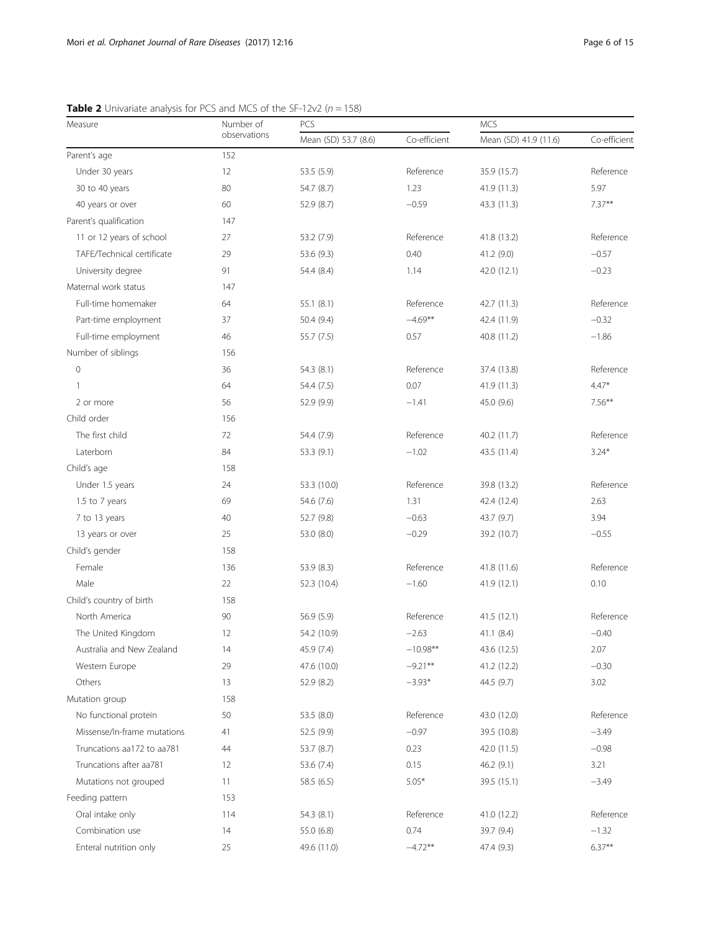| Measure                     | Number of    | PCS                  |              | <b>MCS</b>            |              |  |
|-----------------------------|--------------|----------------------|--------------|-----------------------|--------------|--|
|                             | observations | Mean (SD) 53.7 (8.6) | Co-efficient | Mean (SD) 41.9 (11.6) | Co-efficient |  |
| Parent's age                | 152          |                      |              |                       |              |  |
| Under 30 years              | 12           | 53.5 (5.9)           | Reference    | 35.9 (15.7)           | Reference    |  |
| 30 to 40 years              | 80           | 54.7 (8.7)           | 1.23         | 41.9 (11.3)           | 5.97         |  |
| 40 years or over            | 60           | 52.9 (8.7)           | $-0.59$      | 43.3 (11.3)           | $7.37**$     |  |
| Parent's qualification      | 147          |                      |              |                       |              |  |
| 11 or 12 years of school    | 27           | 53.2 (7.9)           | Reference    | 41.8 (13.2)           | Reference    |  |
| TAFE/Technical certificate  | 29           | 53.6 (9.3)           | 0.40         | 41.2 (9.0)            | $-0.57$      |  |
| University degree           | 91           | 54.4 (8.4)           | 1.14         | 42.0 (12.1)           | $-0.23$      |  |
| Maternal work status        | 147          |                      |              |                       |              |  |
| Full-time homemaker         | 64           | 55.1(8.1)            | Reference    | 42.7 (11.3)           | Reference    |  |
| Part-time employment        | 37           | 50.4(9.4)            | $-4.69***$   | 42.4 (11.9)           | $-0.32$      |  |
| Full-time employment        | 46           | 55.7 (7.5)           | 0.57         | 40.8 (11.2)           | $-1.86$      |  |
| Number of siblings          | 156          |                      |              |                       |              |  |
| $\mathsf{O}\xspace$         | 36           | 54.3(8.1)            | Reference    | 37.4 (13.8)           | Reference    |  |
| $\mathbf{1}$                | 64           | 54.4 (7.5)           | 0.07         | 41.9 (11.3)           | $4.47*$      |  |
| 2 or more                   | 56           | 52.9 (9.9)           | $-1.41$      | 45.0 (9.6)            | $7.56***$    |  |
| Child order                 | 156          |                      |              |                       |              |  |
| The first child             | 72           | 54.4 (7.9)           | Reference    | 40.2 (11.7)           | Reference    |  |
| Laterborn                   | 84           | 53.3 (9.1)           | $-1.02$      | 43.5 (11.4)           | $3.24*$      |  |
| Child's age                 | 158          |                      |              |                       |              |  |
| Under 1.5 years             | 24           | 53.3 (10.0)          | Reference    | 39.8 (13.2)           | Reference    |  |
| 1.5 to 7 years              | 69           | 54.6 (7.6)           | 1.31         | 42.4 (12.4)           | 2.63         |  |
| 7 to 13 years               | 40           | 52.7 (9.8)           | $-0.63$      | 43.7 (9.7)            | 3.94         |  |
| 13 years or over            | 25           | 53.0 (8.0)           | $-0.29$      | 39.2 (10.7)           | $-0.55$      |  |
| Child's gender              | 158          |                      |              |                       |              |  |
| Female                      | 136          | 53.9 (8.3)           | Reference    | 41.8 (11.6)           | Reference    |  |
| Male                        | 22           | 52.3 (10.4)          | $-1.60$      | 41.9 (12.1)           | 0.10         |  |
| Child's country of birth    | 158          |                      |              |                       |              |  |
| North America               | 90           | 56.9 (5.9)           | Reference    | 41.5 (12.1)           | Reference    |  |
| The United Kingdom          | 12           | 54.2 (10.9)          | $-2.63$      | 41.1 (8.4)            | $-0.40$      |  |
| Australia and New Zealand   | 14           | 45.9 (7.4)           | $-10.98**$   | 43.6 (12.5)           | 2.07         |  |
| Western Europe              | 29           | 47.6 (10.0)          | $-9.21***$   | 41.2 (12.2)           | $-0.30$      |  |
| Others                      | 13           | 52.9 (8.2)           | $-3.93*$     | 44.5 (9.7)            | 3.02         |  |
| Mutation group              | 158          |                      |              |                       |              |  |
| No functional protein       | 50           | 53.5 (8.0)           | Reference    | 43.0 (12.0)           | Reference    |  |
| Missense/In-frame mutations | 41           | 52.5 (9.9)           | $-0.97$      | 39.5 (10.8)           | $-3.49$      |  |
| Truncations aa172 to aa781  | 44           | 53.7 (8.7)           | 0.23         | 42.0 (11.5)           | $-0.98$      |  |
| Truncations after aa781     | 12           | 53.6 (7.4)           | 0.15         | 46.2(9.1)             | 3.21         |  |
| Mutations not grouped       | 11           | 58.5 (6.5)           | $5.05*$      | 39.5 (15.1)           | $-3.49$      |  |
| Feeding pattern             | 153          |                      |              |                       |              |  |
| Oral intake only            | 114          | 54.3 (8.1)           | Reference    | 41.0 (12.2)           | Reference    |  |
| Combination use             | 14           | 55.0 (6.8)           | 0.74         | 39.7 (9.4)            | $-1.32$      |  |
| Enteral nutrition only      | 25           | 49.6 (11.0)          | $-4.72**$    | 47.4 (9.3)            | $6.37**$     |  |
|                             |              |                      |              |                       |              |  |

<span id="page-5-0"></span>**Table 2** Univariate analysis for PCS and MCS of the SF-12v2 ( $n = 158$ )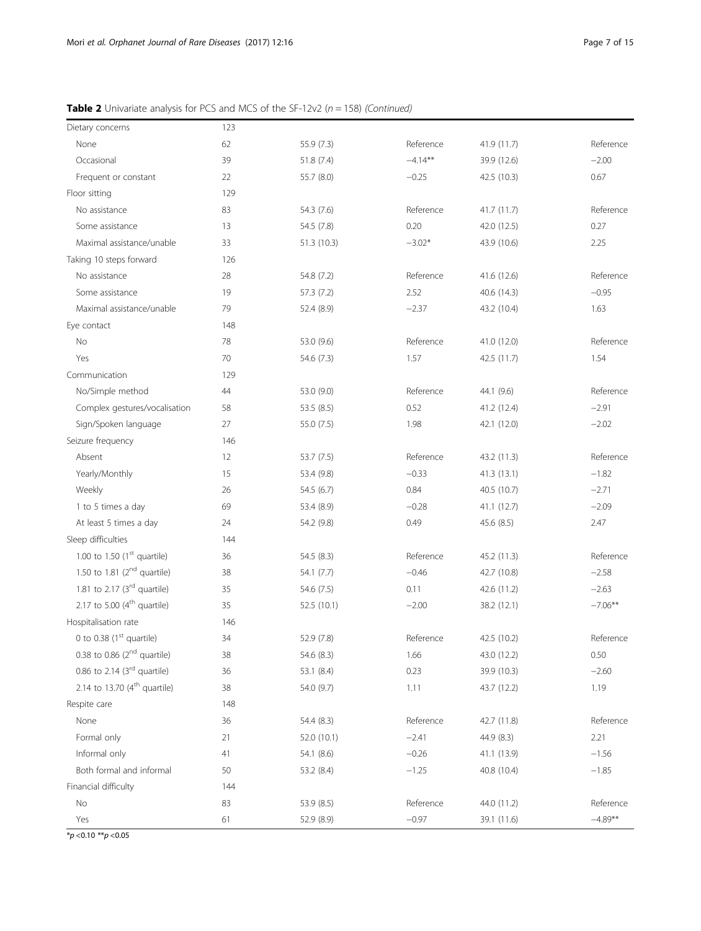|  |  | <b>Table 2</b> Univariate analysis for PCS and MCS of the SF-12v2 ( $n = 158$ ) (Continued) |  |
|--|--|---------------------------------------------------------------------------------------------|--|
|  |  |                                                                                             |  |

| Dietary concerns                     | 123 |             |            |             |            |
|--------------------------------------|-----|-------------|------------|-------------|------------|
| None                                 | 62  | 55.9 (7.3)  | Reference  | 41.9(11.7)  | Reference  |
| Occasional                           | 39  | 51.8 (7.4)  | $-4.14***$ | 39.9 (12.6) | $-2.00$    |
| Frequent or constant                 | 22  | 55.7 (8.0)  | $-0.25$    | 42.5 (10.3) | 0.67       |
| Floor sitting                        | 129 |             |            |             |            |
| No assistance                        | 83  | 54.3 (7.6)  | Reference  | 41.7(11.7)  | Reference  |
| Some assistance                      | 13  | 54.5 (7.8)  | 0.20       | 42.0 (12.5) | 0.27       |
| Maximal assistance/unable            | 33  | 51.3 (10.3) | $-3.02*$   | 43.9 (10.6) | 2.25       |
| Taking 10 steps forward              | 126 |             |            |             |            |
| No assistance                        | 28  | 54.8 (7.2)  | Reference  | 41.6 (12.6) | Reference  |
| Some assistance                      | 19  | 57.3 (7.2)  | 2.52       | 40.6 (14.3) | $-0.95$    |
| Maximal assistance/unable            | 79  | 52.4 (8.9)  | $-2.37$    | 43.2 (10.4) | 1.63       |
| Eye contact                          | 148 |             |            |             |            |
| No                                   | 78  | 53.0 (9.6)  | Reference  | 41.0 (12.0) | Reference  |
| Yes                                  | 70  | 54.6 (7.3)  | 1.57       | 42.5(11.7)  | 1.54       |
| Communication                        | 129 |             |            |             |            |
| No/Simple method                     | 44  | 53.0 (9.0)  | Reference  | 44.1 (9.6)  | Reference  |
| Complex gestures/vocalisation        | 58  | 53.5(8.5)   | 0.52       | 41.2 (12.4) | $-2.91$    |
| Sign/Spoken language                 | 27  | 55.0 (7.5)  | 1.98       | 42.1 (12.0) | $-2.02$    |
| Seizure frequency                    | 146 |             |            |             |            |
| Absent                               | 12  | 53.7 (7.5)  | Reference  | 43.2 (11.3) | Reference  |
| Yearly/Monthly                       | 15  | 53.4 (9.8)  | $-0.33$    | 41.3(13.1)  | $-1.82$    |
| Weekly                               | 26  | 54.5(6.7)   | 0.84       | 40.5 (10.7) | $-2.71$    |
| 1 to 5 times a day                   | 69  | 53.4 (8.9)  | $-0.28$    | 41.1(12.7)  | $-2.09$    |
| At least 5 times a day               | 24  | 54.2 (9.8)  | 0.49       | 45.6 (8.5)  | 2.47       |
| Sleep difficulties                   | 144 |             |            |             |            |
| 1.00 to 1.50 $(1st$ quartile)        | 36  | 54.5 (8.3)  | Reference  | 45.2 (11.3) | Reference  |
| 1.50 to 1.81 $(2^{nd}$ quartile)     | 38  | 54.1 (7.7)  | $-0.46$    | 42.7 (10.8) | $-2.58$    |
| 1.81 to 2.17 $(3rd$ quartile)        | 35  | 54.6 (7.5)  | 0.11       | 42.6 (11.2) | $-2.63$    |
| 2.17 to 5.00 $(4th$ quartile)        | 35  | 52.5 (10.1) | $-2.00$    | 38.2 (12.1) | $-7.06***$ |
| Hospitalisation rate                 | 146 |             |            |             |            |
| 0 to 0.38 (1 <sup>st</sup> quartile) | 34  | 52.9 (7.8)  | Reference  | 42.5 (10.2) | Reference  |
| 0.38 to 0.86 $(2nd$ quartile)        | 38  | 54.6 (8.3)  | 1.66       | 43.0 (12.2) | 0.50       |
| 0.86 to 2.14 ( $3rd$ quartile)       | 36  | 53.1 (8.4)  | 0.23       | 39.9 (10.3) | $-2.60$    |
| 2.14 to 13.70 ( $4^{th}$ quartile)   | 38  | 54.0 (9.7)  | 1.11       | 43.7 (12.2) | 1.19       |
| Respite care                         | 148 |             |            |             |            |
| None                                 | 36  | 54.4 (8.3)  | Reference  | 42.7 (11.8) | Reference  |
| Formal only                          | 21  | 52.0 (10.1) | $-2.41$    | 44.9 (8.3)  | 2.21       |
| Informal only                        | 41  | 54.1 (8.6)  | $-0.26$    | 41.1 (13.9) | $-1.56$    |
| Both formal and informal             | 50  | 53.2 (8.4)  | $-1.25$    | 40.8 (10.4) | $-1.85$    |
| Financial difficulty                 | 144 |             |            |             |            |
| No                                   | 83  | 53.9 (8.5)  | Reference  | 44.0 (11.2) | Reference  |
| Yes                                  | 61  | 52.9 (8.9)  | $-0.97$    | 39.1 (11.6) | $-4.89**$  |

 $\frac{1}{2}p < 0.10 \frac{1}{2}p < 0.05$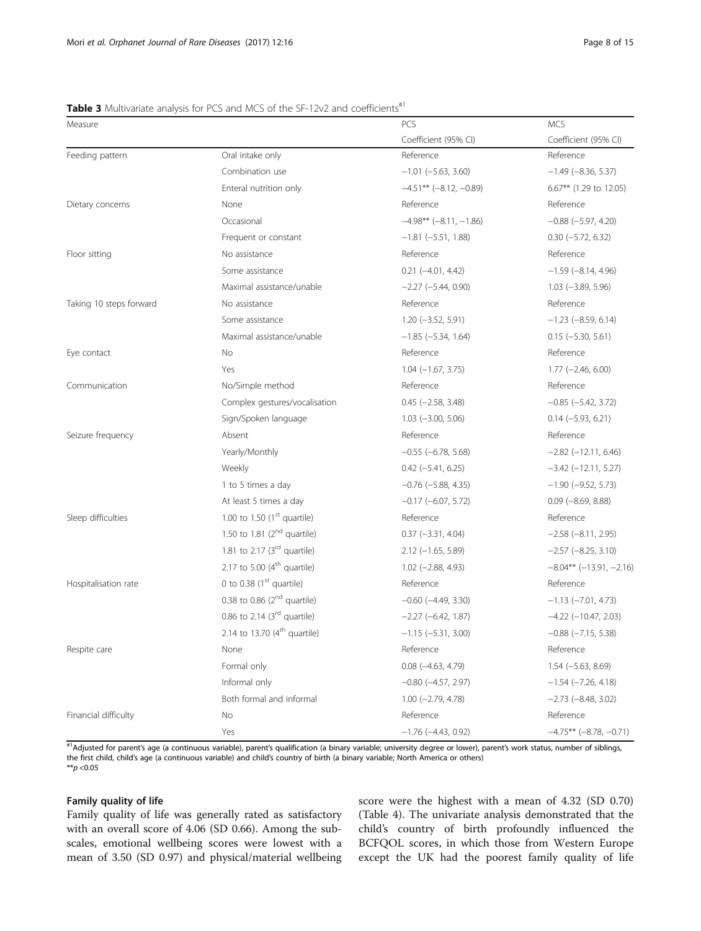# <span id="page-7-0"></span>Table 3 Multivariate analysis for PCS and MCS of the SF-12y2 and coefficients<sup>#1</sup>

| Measure                 |                                | PCS                         | <b>MCS</b>                  |
|-------------------------|--------------------------------|-----------------------------|-----------------------------|
|                         |                                | Coefficient (95% CI)        | Coefficient (95% CI)        |
| Feeding pattern         | Oral intake only               | Reference                   | Reference                   |
|                         | Combination use                | $-1.01$ ( $-5.63$ , 3.60)   | $-1.49$ ( $-8.36$ , 5.37)   |
|                         | Enteral nutrition only         | $-4.51***$ (-8.12, -0.89)   | 6.67** (1.29 to 12.05)      |
| Dietary concerns        | None                           | Reference                   | Reference                   |
|                         | Occasional                     | $-4.98** (-8.11, -1.86)$    | $-0.88$ $(-5.97, 4.20)$     |
|                         | Frequent or constant           | $-1.81$ $(-5.51, 1.88)$     | $0.30 (-5.72, 6.32)$        |
| Floor sitting           | No assistance                  | Reference                   | Reference                   |
|                         | Some assistance                | $0.21 (-4.01, 4.42)$        | $-1.59$ ( $-8.14$ , 4.96)   |
|                         | Maximal assistance/unable      | $-2.27$ ( $-5.44$ , 0.90)   | $1.03$ (-3.89, 5.96)        |
| Taking 10 steps forward | No assistance                  | Reference                   | Reference                   |
|                         | Some assistance                | $1.20 (-3.52, 5.91)$        | $-1.23$ ( $-8.59$ , 6.14)   |
|                         | Maximal assistance/unable      | $-1.85 (-5.34, 1.64)$       | $0.15 (-5.30, 5.61)$        |
| Eye contact             | No                             | Reference                   | Reference                   |
|                         | Yes                            | $1.04 (-1.67, 3.75)$        | $1.77$ (-2.46, 6.00)        |
| Communication           | No/Simple method               | Reference                   | Reference                   |
|                         | Complex gestures/vocalisation  | $0.45$ ( $-2.58$ , 3.48)    | $-0.85$ $(-5.42, 3.72)$     |
|                         | Sign/Spoken language           | $1.03$ ( $-3.00$ , $5.06$ ) | $0.14 (-5.93, 6.21)$        |
| Seizure frequency       | Absent                         | Reference                   | Reference                   |
|                         | Yearly/Monthly                 | $-0.55$ ( $-6.78$ , 5.68)   | $-2.82$ ( $-12.11$ , 6.46)  |
|                         | Weekly                         | $0.42 (-5.41, 6.25)$        | $-3.42$ ( $-12.11$ , 5.27)  |
|                         | 1 to 5 times a day             | $-0.76$ ( $-5.88$ , 4.35)   | $-1.90$ ( $-9.52$ , 5.73)   |
|                         | At least 5 times a day         | $-0.17$ $(-6.07, 5.72)$     | $0.09$ ( $-8.69$ , $8.88$ ) |
| Sleep difficulties      | 1.00 to 1.50 $(1st$ quartile)  | Reference                   | Reference                   |
|                         | 1.50 to 1.81 $(2nd$ quartile)  | $0.37 (-3.31, 4.04)$        | $-2.58$ $(-8.11, 2.95)$     |
|                         | 1.81 to 2.17 $(3rd$ quartile)  | $2.12$ (-1.65, 5.89)        | $-2.57$ $(-8.25, 3.10)$     |
|                         | 2.17 to 5.00 $(4th$ quartile)  | $1.02$ (-2.88, 4.93)        | $-8.04***$ (-13.91, -2.16)  |
| Hospitalisation rate    | 0 to 0.38 $(1st$ quartile)     | Reference                   | Reference                   |
|                         | 0.38 to 0.86 $(2nd$ quartile)  | $-0.60$ $(-4.49, 3.30)$     | $-1.13$ $(-7.01, 4.73)$     |
|                         | 0.86 to 2.14 $(3rd$ quartile)  | $-2.27 (-6.42, 1.87)$       | $-4.22$ ( $-10.47$ , 2.03)  |
|                         | 2.14 to 13.70 $(4th$ quartile) | $-1.15 (-5.31, 3.00)$       | $-0.88$ $(-7.15, 5.38)$     |
| Respite care            | None                           | Reference                   | Reference                   |
|                         | Formal only                    | $0.08$ ( $-4.63$ , $4.79$ ) | $1.54 (-5.63, 8.69)$        |
|                         | Informal only                  | $-0.80$ $(-4.57, 2.97)$     | $-1.54$ ( $-7.26$ , 4.18)   |
|                         | Both formal and informal       | $1.00 (-2.79, 4.78)$        | $-2.73$ $(-8.48, 3.02)$     |
| Financial difficulty    | No                             | Reference                   | Reference                   |
|                         | Yes                            | $-1.76$ ( $-4.43$ , 0.92)   | $-4.75***$ (-8.78, -0.71)   |

#1Adjusted for parent's age (a continuous variable), parent's qualification (a binary variable; university degree or lower), parent's work status, number of siblings, the first child, child's age (a continuous variable) and child's country of birth (a binary variable; North America or others)  $*$  $p$  <0.05

# Family quality of life

Family quality of life was generally rated as satisfactory with an overall score of 4.06 (SD 0.66). Among the subscales, emotional wellbeing scores were lowest with a mean of 3.50 (SD 0.97) and physical/material wellbeing

score were the highest with a mean of 4.32 (SD 0.70) (Table [4\)](#page-8-0). The univariate analysis demonstrated that the child's country of birth profoundly influenced the BCFQOL scores, in which those from Western Europe except the UK had the poorest family quality of life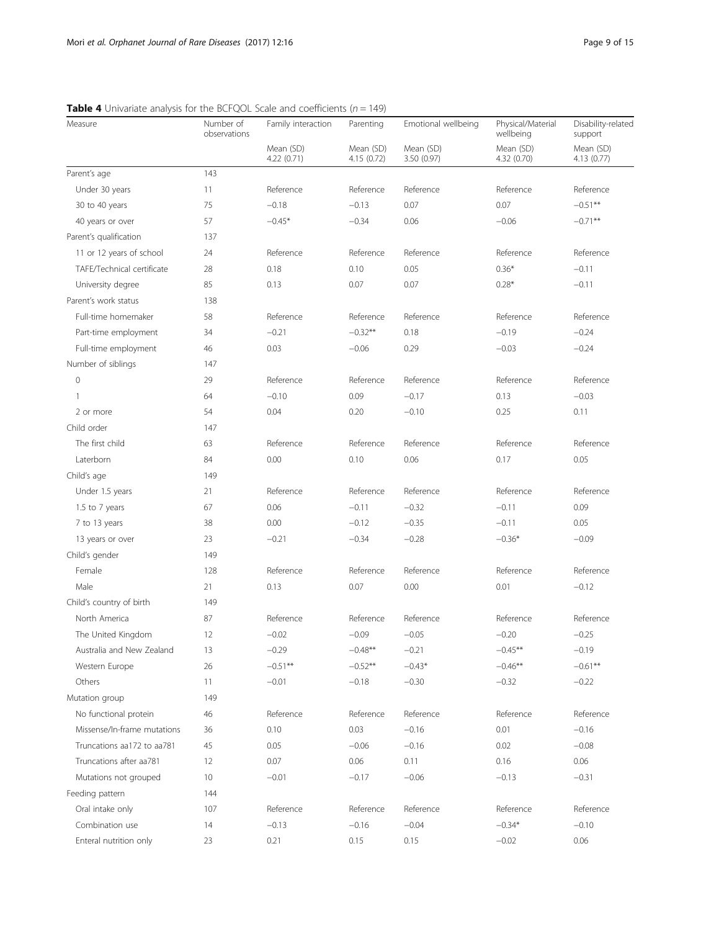| Measure                     | Number of<br>observations | Family interaction       | Parenting                | Emotional wellbeing      | Physical/Material<br>wellbeing | Disability-related<br>support |
|-----------------------------|---------------------------|--------------------------|--------------------------|--------------------------|--------------------------------|-------------------------------|
|                             |                           | Mean (SD)<br>4.22 (0.71) | Mean (SD)<br>4.15 (0.72) | Mean (SD)<br>3.50 (0.97) | Mean (SD)<br>4.32 (0.70)       | Mean (SD)<br>4.13 (0.77)      |
| Parent's age                | 143                       |                          |                          |                          |                                |                               |
| Under 30 years              | 11                        | Reference                | Reference                | Reference                | Reference                      | Reference                     |
| 30 to 40 years              | 75                        | $-0.18$                  | $-0.13$                  | 0.07                     | 0.07                           | $-0.51**$                     |
| 40 years or over            | 57                        | $-0.45*$                 | $-0.34$                  | 0.06                     | $-0.06$                        | $-0.71**$                     |
| Parent's qualification      | 137                       |                          |                          |                          |                                |                               |
| 11 or 12 years of school    | 24                        | Reference                | Reference                | Reference                | Reference                      | Reference                     |
| TAFE/Technical certificate  | 28                        | 0.18                     | 0.10                     | 0.05                     | $0.36*$                        | $-0.11$                       |
| University degree           | 85                        | 0.13                     | 0.07                     | 0.07                     | $0.28*$                        | $-0.11$                       |
| Parent's work status        | 138                       |                          |                          |                          |                                |                               |
| Full-time homemaker         | 58                        | Reference                | Reference                | Reference                | Reference                      | Reference                     |
| Part-time employment        | 34                        | $-0.21$                  | $-0.32**$                | 0.18                     | $-0.19$                        | $-0.24$                       |
| Full-time employment        | 46                        | 0.03                     | $-0.06$                  | 0.29                     | $-0.03$                        | $-0.24$                       |
| Number of siblings          | 147                       |                          |                          |                          |                                |                               |
| $\mathbf 0$                 | 29                        | Reference                | Reference                | Reference                | Reference                      | Reference                     |
| 1                           | 64                        | $-0.10$                  | 0.09                     | $-0.17$                  | 0.13                           | $-0.03$                       |
| 2 or more                   | 54                        | 0.04                     | 0.20                     | $-0.10$                  | 0.25                           | 0.11                          |
| Child order                 | 147                       |                          |                          |                          |                                |                               |
| The first child             | 63                        | Reference                | Reference                | Reference                | Reference                      | Reference                     |
| Laterborn                   | 84                        | 0.00                     | 0.10                     | 0.06                     | 0.17                           | 0.05                          |
| Child's age                 | 149                       |                          |                          |                          |                                |                               |
| Under 1.5 years             | 21                        | Reference                | Reference                | Reference                | Reference                      | Reference                     |
| 1.5 to 7 years              | 67                        | 0.06                     | $-0.11$                  | $-0.32$                  | $-0.11$                        | 0.09                          |
| 7 to 13 years               | 38                        | 0.00                     | $-0.12$                  | $-0.35$                  | $-0.11$                        | 0.05                          |
| 13 years or over            | 23                        | $-0.21$                  | $-0.34$                  | $-0.28$                  | $-0.36*$                       | $-0.09$                       |
| Child's gender              | 149                       |                          |                          |                          |                                |                               |
| Female                      | 128                       | Reference                | Reference                | Reference                | Reference                      | Reference                     |
| Male                        | 21                        | 0.13                     | 0.07                     | 0.00                     | 0.01                           | $-0.12$                       |
| Child's country of birth    | 149                       |                          |                          |                          |                                |                               |
| North America               | 87                        | Reference                | Reference                | Reference                | Reference                      | Reference                     |
| The United Kingdom          | 12                        | $-0.02$                  | $-0.09$                  | $-0.05$                  | $-0.20$                        | $-0.25$                       |
| Australia and New Zealand   | 13                        | $-0.29$                  | $-0.48**$                | $-0.21$                  | $-0.45**$                      | $-0.19$                       |
| Western Europe              | 26                        | $-0.51***$               | $-0.52**$                | $-0.43*$                 | $-0.46**$                      | $-0.61***$                    |
| Others                      | 11                        | $-0.01$                  | $-0.18$                  | $-0.30$                  | $-0.32$                        | $-0.22$                       |
| Mutation group              | 149                       |                          |                          |                          |                                |                               |
| No functional protein       | 46                        | Reference                | Reference                | Reference                | Reference                      | Reference                     |
| Missense/In-frame mutations | 36                        | 0.10                     | 0.03                     | $-0.16$                  | 0.01                           | $-0.16$                       |
| Truncations aa172 to aa781  | 45                        | 0.05                     | $-0.06$                  | $-0.16$                  | 0.02                           | $-0.08$                       |
| Truncations after aa781     | 12                        | 0.07                     | 0.06                     | 0.11                     | 0.16                           | 0.06                          |
| Mutations not grouped       | 10                        | $-0.01$                  | $-0.17$                  | $-0.06$                  | $-0.13$                        | $-0.31$                       |
| Feeding pattern             | 144                       |                          |                          |                          |                                |                               |
| Oral intake only            | 107                       | Reference                | Reference                | Reference                | Reference                      | Reference                     |
| Combination use             | 14                        | $-0.13$                  | $-0.16$                  | $-0.04$                  | $-0.34*$                       | $-0.10$                       |
| Enteral nutrition only      | 23                        | 0.21                     | 0.15                     | 0.15                     | $-0.02$                        | 0.06                          |

<span id="page-8-0"></span>**Table 4** Univariate analysis for the BCFQOL Scale and coefficients ( $n = 149$ )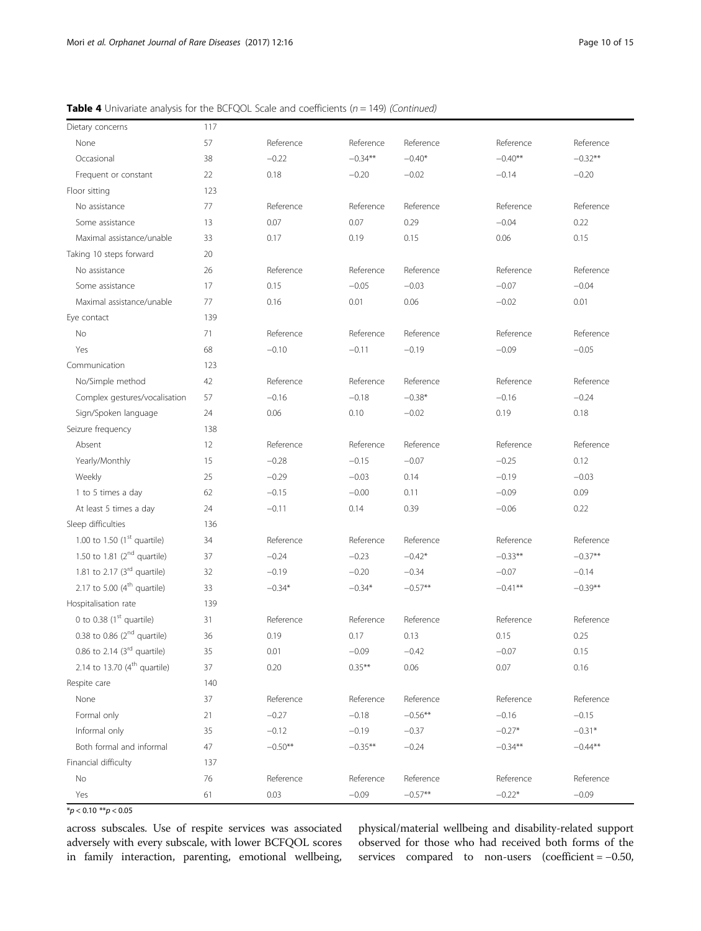| <b>Table 4</b> Univariate analysis for the BCFQOL Scale and coefficients $(n = 149)$ (Continued) |  |
|--------------------------------------------------------------------------------------------------|--|
|--------------------------------------------------------------------------------------------------|--|

| 57<br>Reference<br>Reference<br>Reference<br>Reference<br>None<br>Reference<br>$-0.22$<br>$-0.40*$<br>$-0.40**$<br>$-0.32**$<br>38<br>$-0.34***$<br>Occasional<br>22<br>0.18<br>$-0.20$<br>$-0.02$<br>$-0.14$<br>$-0.20$<br>Frequent or constant<br>123<br>Floor sitting<br>77<br>Reference<br>Reference<br>Reference<br>No assistance<br>Reference<br>Reference<br>0.07<br>0.07<br>0.29<br>$-0.04$<br>0.22<br>Some assistance<br>13<br>33<br>0.17<br>0.15<br>0.06<br>0.15<br>Maximal assistance/unable<br>0.19<br>Taking 10 steps forward<br>20<br>Reference<br>26<br>Reference<br>Reference<br>Reference<br>No assistance<br>Reference<br>0.15<br>$-0.05$<br>$-0.03$<br>$-0.07$<br>$-0.04$<br>Some assistance<br>17<br>77<br>0.16<br>0.06<br>$-0.02$<br>0.01<br>Maximal assistance/unable<br>0.01<br>Eye contact<br>139<br>No<br>Reference<br>Reference<br>71<br>Reference<br>Reference<br>Reference<br>68<br>$-0.10$<br>$-0.19$<br>$-0.09$<br>$-0.05$<br>Yes<br>$-0.11$<br>Communication<br>123<br>No/Simple method<br>Reference<br>Reference<br>Reference<br>42<br>Reference<br>Reference<br>Complex gestures/vocalisation<br>57<br>$-0.16$<br>$-0.38*$<br>$-0.16$<br>$-0.24$<br>$-0.18$<br>24<br>0.06<br>0.10<br>$-0.02$<br>0.19<br>0.18<br>Sign/Spoken language<br>Seizure frequency<br>138<br>Absent<br>Reference<br>Reference<br>Reference<br>Reference<br>Reference<br>12<br>Yearly/Monthly<br>15<br>$-0.28$<br>$-0.07$<br>$-0.25$<br>0.12<br>$-0.15$<br>Weekly<br>25<br>$-0.29$<br>$-0.03$<br>0.14<br>$-0.19$<br>$-0.03$<br>62<br>$-0.15$<br>$-0.00$<br>0.11<br>$-0.09$<br>0.09<br>1 to 5 times a day<br>At least 5 times a day<br>24<br>$-0.11$<br>0.39<br>0.22<br>0.14<br>$-0.06$<br>Sleep difficulties<br>136<br>1.00 to 1.50 $(1st$ quartile)<br>Reference<br>Reference<br>34<br>Reference<br>Reference<br>Reference<br>1.50 to 1.81 $(2^{nd}$ quartile)<br>$-0.24$<br>$-0.42*$<br>$-0.33**$<br>$-0.37**$<br>37<br>$-0.23$<br>1.81 to 2.17 $(3rd$ quartile)<br>32<br>$-0.19$<br>$-0.20$<br>$-0.34$<br>$-0.07$<br>$-0.14$<br>2.17 to 5.00 $(4th$ quartile)<br>33<br>$-0.34*$<br>$-0.34*$<br>$-0.57**$<br>$-0.41**$<br>$-0.39**$<br>Hospitalisation rate<br>139<br>0 to 0.38 $(1st$ quartile)<br>31<br>Reference<br>Reference<br>Reference<br>Reference<br>Reference<br>0.38 to 0.86 $(2^{nd}$ quartile)<br>36<br>0.19<br>0.13<br>0.15<br>0.25<br>0.17<br>0.86 to 2.14 $(3rd$ quartile)<br>35<br>$-0.09$<br>$-0.07$<br>0.01<br>$-0.42$<br>0.15<br>2.14 to 13.70 $(4^{th}$ quartile)<br>$0.35***$<br>37<br>0.20<br>0.06<br>0.07<br>0.16<br>Respite care<br>140<br>None<br>37<br>Reference<br>Reference<br>Reference<br>Reference<br>Reference<br>$-0.27$<br>Formal only<br>21<br>$-0.18$<br>$-0.56***$<br>$-0.16$<br>$-0.15$<br>$-0.12$<br>$-0.27*$<br>Informal only<br>35<br>$-0.19$<br>$-0.37$<br>$-0.31*$<br>$-0.50**$<br>$-0.35***$<br>$-0.24$<br>$-0.44***$<br>Both formal and informal<br>47<br>$-0.34**$<br>Financial difficulty<br>137<br>No<br>76<br>Reference<br>Reference<br>Reference<br>Reference<br>Reference<br>$-0.57**$<br>$-0.22*$<br>0.03<br>$-0.09$<br>$-0.09$<br>Yes<br>61 | Dietary concerns | 117 |  |  |  |
|------------------------------------------------------------------------------------------------------------------------------------------------------------------------------------------------------------------------------------------------------------------------------------------------------------------------------------------------------------------------------------------------------------------------------------------------------------------------------------------------------------------------------------------------------------------------------------------------------------------------------------------------------------------------------------------------------------------------------------------------------------------------------------------------------------------------------------------------------------------------------------------------------------------------------------------------------------------------------------------------------------------------------------------------------------------------------------------------------------------------------------------------------------------------------------------------------------------------------------------------------------------------------------------------------------------------------------------------------------------------------------------------------------------------------------------------------------------------------------------------------------------------------------------------------------------------------------------------------------------------------------------------------------------------------------------------------------------------------------------------------------------------------------------------------------------------------------------------------------------------------------------------------------------------------------------------------------------------------------------------------------------------------------------------------------------------------------------------------------------------------------------------------------------------------------------------------------------------------------------------------------------------------------------------------------------------------------------------------------------------------------------------------------------------------------------------------------------------------------------------------------------------------------------------------------------------------------------------------------------------------------------------------------------------------------------------------------------------------------------------------------------------------------------------------------------------------------------------------------------------------------------------------------------------------------------------------------------------------------------------------------------------------------------------------------------------------------------------------------|------------------|-----|--|--|--|
|                                                                                                                                                                                                                                                                                                                                                                                                                                                                                                                                                                                                                                                                                                                                                                                                                                                                                                                                                                                                                                                                                                                                                                                                                                                                                                                                                                                                                                                                                                                                                                                                                                                                                                                                                                                                                                                                                                                                                                                                                                                                                                                                                                                                                                                                                                                                                                                                                                                                                                                                                                                                                                                                                                                                                                                                                                                                                                                                                                                                                                                                                                            |                  |     |  |  |  |
|                                                                                                                                                                                                                                                                                                                                                                                                                                                                                                                                                                                                                                                                                                                                                                                                                                                                                                                                                                                                                                                                                                                                                                                                                                                                                                                                                                                                                                                                                                                                                                                                                                                                                                                                                                                                                                                                                                                                                                                                                                                                                                                                                                                                                                                                                                                                                                                                                                                                                                                                                                                                                                                                                                                                                                                                                                                                                                                                                                                                                                                                                                            |                  |     |  |  |  |
|                                                                                                                                                                                                                                                                                                                                                                                                                                                                                                                                                                                                                                                                                                                                                                                                                                                                                                                                                                                                                                                                                                                                                                                                                                                                                                                                                                                                                                                                                                                                                                                                                                                                                                                                                                                                                                                                                                                                                                                                                                                                                                                                                                                                                                                                                                                                                                                                                                                                                                                                                                                                                                                                                                                                                                                                                                                                                                                                                                                                                                                                                                            |                  |     |  |  |  |
|                                                                                                                                                                                                                                                                                                                                                                                                                                                                                                                                                                                                                                                                                                                                                                                                                                                                                                                                                                                                                                                                                                                                                                                                                                                                                                                                                                                                                                                                                                                                                                                                                                                                                                                                                                                                                                                                                                                                                                                                                                                                                                                                                                                                                                                                                                                                                                                                                                                                                                                                                                                                                                                                                                                                                                                                                                                                                                                                                                                                                                                                                                            |                  |     |  |  |  |
|                                                                                                                                                                                                                                                                                                                                                                                                                                                                                                                                                                                                                                                                                                                                                                                                                                                                                                                                                                                                                                                                                                                                                                                                                                                                                                                                                                                                                                                                                                                                                                                                                                                                                                                                                                                                                                                                                                                                                                                                                                                                                                                                                                                                                                                                                                                                                                                                                                                                                                                                                                                                                                                                                                                                                                                                                                                                                                                                                                                                                                                                                                            |                  |     |  |  |  |
|                                                                                                                                                                                                                                                                                                                                                                                                                                                                                                                                                                                                                                                                                                                                                                                                                                                                                                                                                                                                                                                                                                                                                                                                                                                                                                                                                                                                                                                                                                                                                                                                                                                                                                                                                                                                                                                                                                                                                                                                                                                                                                                                                                                                                                                                                                                                                                                                                                                                                                                                                                                                                                                                                                                                                                                                                                                                                                                                                                                                                                                                                                            |                  |     |  |  |  |
|                                                                                                                                                                                                                                                                                                                                                                                                                                                                                                                                                                                                                                                                                                                                                                                                                                                                                                                                                                                                                                                                                                                                                                                                                                                                                                                                                                                                                                                                                                                                                                                                                                                                                                                                                                                                                                                                                                                                                                                                                                                                                                                                                                                                                                                                                                                                                                                                                                                                                                                                                                                                                                                                                                                                                                                                                                                                                                                                                                                                                                                                                                            |                  |     |  |  |  |
|                                                                                                                                                                                                                                                                                                                                                                                                                                                                                                                                                                                                                                                                                                                                                                                                                                                                                                                                                                                                                                                                                                                                                                                                                                                                                                                                                                                                                                                                                                                                                                                                                                                                                                                                                                                                                                                                                                                                                                                                                                                                                                                                                                                                                                                                                                                                                                                                                                                                                                                                                                                                                                                                                                                                                                                                                                                                                                                                                                                                                                                                                                            |                  |     |  |  |  |
|                                                                                                                                                                                                                                                                                                                                                                                                                                                                                                                                                                                                                                                                                                                                                                                                                                                                                                                                                                                                                                                                                                                                                                                                                                                                                                                                                                                                                                                                                                                                                                                                                                                                                                                                                                                                                                                                                                                                                                                                                                                                                                                                                                                                                                                                                                                                                                                                                                                                                                                                                                                                                                                                                                                                                                                                                                                                                                                                                                                                                                                                                                            |                  |     |  |  |  |
|                                                                                                                                                                                                                                                                                                                                                                                                                                                                                                                                                                                                                                                                                                                                                                                                                                                                                                                                                                                                                                                                                                                                                                                                                                                                                                                                                                                                                                                                                                                                                                                                                                                                                                                                                                                                                                                                                                                                                                                                                                                                                                                                                                                                                                                                                                                                                                                                                                                                                                                                                                                                                                                                                                                                                                                                                                                                                                                                                                                                                                                                                                            |                  |     |  |  |  |
|                                                                                                                                                                                                                                                                                                                                                                                                                                                                                                                                                                                                                                                                                                                                                                                                                                                                                                                                                                                                                                                                                                                                                                                                                                                                                                                                                                                                                                                                                                                                                                                                                                                                                                                                                                                                                                                                                                                                                                                                                                                                                                                                                                                                                                                                                                                                                                                                                                                                                                                                                                                                                                                                                                                                                                                                                                                                                                                                                                                                                                                                                                            |                  |     |  |  |  |
|                                                                                                                                                                                                                                                                                                                                                                                                                                                                                                                                                                                                                                                                                                                                                                                                                                                                                                                                                                                                                                                                                                                                                                                                                                                                                                                                                                                                                                                                                                                                                                                                                                                                                                                                                                                                                                                                                                                                                                                                                                                                                                                                                                                                                                                                                                                                                                                                                                                                                                                                                                                                                                                                                                                                                                                                                                                                                                                                                                                                                                                                                                            |                  |     |  |  |  |
|                                                                                                                                                                                                                                                                                                                                                                                                                                                                                                                                                                                                                                                                                                                                                                                                                                                                                                                                                                                                                                                                                                                                                                                                                                                                                                                                                                                                                                                                                                                                                                                                                                                                                                                                                                                                                                                                                                                                                                                                                                                                                                                                                                                                                                                                                                                                                                                                                                                                                                                                                                                                                                                                                                                                                                                                                                                                                                                                                                                                                                                                                                            |                  |     |  |  |  |
|                                                                                                                                                                                                                                                                                                                                                                                                                                                                                                                                                                                                                                                                                                                                                                                                                                                                                                                                                                                                                                                                                                                                                                                                                                                                                                                                                                                                                                                                                                                                                                                                                                                                                                                                                                                                                                                                                                                                                                                                                                                                                                                                                                                                                                                                                                                                                                                                                                                                                                                                                                                                                                                                                                                                                                                                                                                                                                                                                                                                                                                                                                            |                  |     |  |  |  |
|                                                                                                                                                                                                                                                                                                                                                                                                                                                                                                                                                                                                                                                                                                                                                                                                                                                                                                                                                                                                                                                                                                                                                                                                                                                                                                                                                                                                                                                                                                                                                                                                                                                                                                                                                                                                                                                                                                                                                                                                                                                                                                                                                                                                                                                                                                                                                                                                                                                                                                                                                                                                                                                                                                                                                                                                                                                                                                                                                                                                                                                                                                            |                  |     |  |  |  |
|                                                                                                                                                                                                                                                                                                                                                                                                                                                                                                                                                                                                                                                                                                                                                                                                                                                                                                                                                                                                                                                                                                                                                                                                                                                                                                                                                                                                                                                                                                                                                                                                                                                                                                                                                                                                                                                                                                                                                                                                                                                                                                                                                                                                                                                                                                                                                                                                                                                                                                                                                                                                                                                                                                                                                                                                                                                                                                                                                                                                                                                                                                            |                  |     |  |  |  |
|                                                                                                                                                                                                                                                                                                                                                                                                                                                                                                                                                                                                                                                                                                                                                                                                                                                                                                                                                                                                                                                                                                                                                                                                                                                                                                                                                                                                                                                                                                                                                                                                                                                                                                                                                                                                                                                                                                                                                                                                                                                                                                                                                                                                                                                                                                                                                                                                                                                                                                                                                                                                                                                                                                                                                                                                                                                                                                                                                                                                                                                                                                            |                  |     |  |  |  |
|                                                                                                                                                                                                                                                                                                                                                                                                                                                                                                                                                                                                                                                                                                                                                                                                                                                                                                                                                                                                                                                                                                                                                                                                                                                                                                                                                                                                                                                                                                                                                                                                                                                                                                                                                                                                                                                                                                                                                                                                                                                                                                                                                                                                                                                                                                                                                                                                                                                                                                                                                                                                                                                                                                                                                                                                                                                                                                                                                                                                                                                                                                            |                  |     |  |  |  |
|                                                                                                                                                                                                                                                                                                                                                                                                                                                                                                                                                                                                                                                                                                                                                                                                                                                                                                                                                                                                                                                                                                                                                                                                                                                                                                                                                                                                                                                                                                                                                                                                                                                                                                                                                                                                                                                                                                                                                                                                                                                                                                                                                                                                                                                                                                                                                                                                                                                                                                                                                                                                                                                                                                                                                                                                                                                                                                                                                                                                                                                                                                            |                  |     |  |  |  |
|                                                                                                                                                                                                                                                                                                                                                                                                                                                                                                                                                                                                                                                                                                                                                                                                                                                                                                                                                                                                                                                                                                                                                                                                                                                                                                                                                                                                                                                                                                                                                                                                                                                                                                                                                                                                                                                                                                                                                                                                                                                                                                                                                                                                                                                                                                                                                                                                                                                                                                                                                                                                                                                                                                                                                                                                                                                                                                                                                                                                                                                                                                            |                  |     |  |  |  |
|                                                                                                                                                                                                                                                                                                                                                                                                                                                                                                                                                                                                                                                                                                                                                                                                                                                                                                                                                                                                                                                                                                                                                                                                                                                                                                                                                                                                                                                                                                                                                                                                                                                                                                                                                                                                                                                                                                                                                                                                                                                                                                                                                                                                                                                                                                                                                                                                                                                                                                                                                                                                                                                                                                                                                                                                                                                                                                                                                                                                                                                                                                            |                  |     |  |  |  |
|                                                                                                                                                                                                                                                                                                                                                                                                                                                                                                                                                                                                                                                                                                                                                                                                                                                                                                                                                                                                                                                                                                                                                                                                                                                                                                                                                                                                                                                                                                                                                                                                                                                                                                                                                                                                                                                                                                                                                                                                                                                                                                                                                                                                                                                                                                                                                                                                                                                                                                                                                                                                                                                                                                                                                                                                                                                                                                                                                                                                                                                                                                            |                  |     |  |  |  |
|                                                                                                                                                                                                                                                                                                                                                                                                                                                                                                                                                                                                                                                                                                                                                                                                                                                                                                                                                                                                                                                                                                                                                                                                                                                                                                                                                                                                                                                                                                                                                                                                                                                                                                                                                                                                                                                                                                                                                                                                                                                                                                                                                                                                                                                                                                                                                                                                                                                                                                                                                                                                                                                                                                                                                                                                                                                                                                                                                                                                                                                                                                            |                  |     |  |  |  |
|                                                                                                                                                                                                                                                                                                                                                                                                                                                                                                                                                                                                                                                                                                                                                                                                                                                                                                                                                                                                                                                                                                                                                                                                                                                                                                                                                                                                                                                                                                                                                                                                                                                                                                                                                                                                                                                                                                                                                                                                                                                                                                                                                                                                                                                                                                                                                                                                                                                                                                                                                                                                                                                                                                                                                                                                                                                                                                                                                                                                                                                                                                            |                  |     |  |  |  |
|                                                                                                                                                                                                                                                                                                                                                                                                                                                                                                                                                                                                                                                                                                                                                                                                                                                                                                                                                                                                                                                                                                                                                                                                                                                                                                                                                                                                                                                                                                                                                                                                                                                                                                                                                                                                                                                                                                                                                                                                                                                                                                                                                                                                                                                                                                                                                                                                                                                                                                                                                                                                                                                                                                                                                                                                                                                                                                                                                                                                                                                                                                            |                  |     |  |  |  |
|                                                                                                                                                                                                                                                                                                                                                                                                                                                                                                                                                                                                                                                                                                                                                                                                                                                                                                                                                                                                                                                                                                                                                                                                                                                                                                                                                                                                                                                                                                                                                                                                                                                                                                                                                                                                                                                                                                                                                                                                                                                                                                                                                                                                                                                                                                                                                                                                                                                                                                                                                                                                                                                                                                                                                                                                                                                                                                                                                                                                                                                                                                            |                  |     |  |  |  |
|                                                                                                                                                                                                                                                                                                                                                                                                                                                                                                                                                                                                                                                                                                                                                                                                                                                                                                                                                                                                                                                                                                                                                                                                                                                                                                                                                                                                                                                                                                                                                                                                                                                                                                                                                                                                                                                                                                                                                                                                                                                                                                                                                                                                                                                                                                                                                                                                                                                                                                                                                                                                                                                                                                                                                                                                                                                                                                                                                                                                                                                                                                            |                  |     |  |  |  |
|                                                                                                                                                                                                                                                                                                                                                                                                                                                                                                                                                                                                                                                                                                                                                                                                                                                                                                                                                                                                                                                                                                                                                                                                                                                                                                                                                                                                                                                                                                                                                                                                                                                                                                                                                                                                                                                                                                                                                                                                                                                                                                                                                                                                                                                                                                                                                                                                                                                                                                                                                                                                                                                                                                                                                                                                                                                                                                                                                                                                                                                                                                            |                  |     |  |  |  |
|                                                                                                                                                                                                                                                                                                                                                                                                                                                                                                                                                                                                                                                                                                                                                                                                                                                                                                                                                                                                                                                                                                                                                                                                                                                                                                                                                                                                                                                                                                                                                                                                                                                                                                                                                                                                                                                                                                                                                                                                                                                                                                                                                                                                                                                                                                                                                                                                                                                                                                                                                                                                                                                                                                                                                                                                                                                                                                                                                                                                                                                                                                            |                  |     |  |  |  |
|                                                                                                                                                                                                                                                                                                                                                                                                                                                                                                                                                                                                                                                                                                                                                                                                                                                                                                                                                                                                                                                                                                                                                                                                                                                                                                                                                                                                                                                                                                                                                                                                                                                                                                                                                                                                                                                                                                                                                                                                                                                                                                                                                                                                                                                                                                                                                                                                                                                                                                                                                                                                                                                                                                                                                                                                                                                                                                                                                                                                                                                                                                            |                  |     |  |  |  |
|                                                                                                                                                                                                                                                                                                                                                                                                                                                                                                                                                                                                                                                                                                                                                                                                                                                                                                                                                                                                                                                                                                                                                                                                                                                                                                                                                                                                                                                                                                                                                                                                                                                                                                                                                                                                                                                                                                                                                                                                                                                                                                                                                                                                                                                                                                                                                                                                                                                                                                                                                                                                                                                                                                                                                                                                                                                                                                                                                                                                                                                                                                            |                  |     |  |  |  |
|                                                                                                                                                                                                                                                                                                                                                                                                                                                                                                                                                                                                                                                                                                                                                                                                                                                                                                                                                                                                                                                                                                                                                                                                                                                                                                                                                                                                                                                                                                                                                                                                                                                                                                                                                                                                                                                                                                                                                                                                                                                                                                                                                                                                                                                                                                                                                                                                                                                                                                                                                                                                                                                                                                                                                                                                                                                                                                                                                                                                                                                                                                            |                  |     |  |  |  |
|                                                                                                                                                                                                                                                                                                                                                                                                                                                                                                                                                                                                                                                                                                                                                                                                                                                                                                                                                                                                                                                                                                                                                                                                                                                                                                                                                                                                                                                                                                                                                                                                                                                                                                                                                                                                                                                                                                                                                                                                                                                                                                                                                                                                                                                                                                                                                                                                                                                                                                                                                                                                                                                                                                                                                                                                                                                                                                                                                                                                                                                                                                            |                  |     |  |  |  |
|                                                                                                                                                                                                                                                                                                                                                                                                                                                                                                                                                                                                                                                                                                                                                                                                                                                                                                                                                                                                                                                                                                                                                                                                                                                                                                                                                                                                                                                                                                                                                                                                                                                                                                                                                                                                                                                                                                                                                                                                                                                                                                                                                                                                                                                                                                                                                                                                                                                                                                                                                                                                                                                                                                                                                                                                                                                                                                                                                                                                                                                                                                            |                  |     |  |  |  |
|                                                                                                                                                                                                                                                                                                                                                                                                                                                                                                                                                                                                                                                                                                                                                                                                                                                                                                                                                                                                                                                                                                                                                                                                                                                                                                                                                                                                                                                                                                                                                                                                                                                                                                                                                                                                                                                                                                                                                                                                                                                                                                                                                                                                                                                                                                                                                                                                                                                                                                                                                                                                                                                                                                                                                                                                                                                                                                                                                                                                                                                                                                            |                  |     |  |  |  |
|                                                                                                                                                                                                                                                                                                                                                                                                                                                                                                                                                                                                                                                                                                                                                                                                                                                                                                                                                                                                                                                                                                                                                                                                                                                                                                                                                                                                                                                                                                                                                                                                                                                                                                                                                                                                                                                                                                                                                                                                                                                                                                                                                                                                                                                                                                                                                                                                                                                                                                                                                                                                                                                                                                                                                                                                                                                                                                                                                                                                                                                                                                            |                  |     |  |  |  |
|                                                                                                                                                                                                                                                                                                                                                                                                                                                                                                                                                                                                                                                                                                                                                                                                                                                                                                                                                                                                                                                                                                                                                                                                                                                                                                                                                                                                                                                                                                                                                                                                                                                                                                                                                                                                                                                                                                                                                                                                                                                                                                                                                                                                                                                                                                                                                                                                                                                                                                                                                                                                                                                                                                                                                                                                                                                                                                                                                                                                                                                                                                            |                  |     |  |  |  |
|                                                                                                                                                                                                                                                                                                                                                                                                                                                                                                                                                                                                                                                                                                                                                                                                                                                                                                                                                                                                                                                                                                                                                                                                                                                                                                                                                                                                                                                                                                                                                                                                                                                                                                                                                                                                                                                                                                                                                                                                                                                                                                                                                                                                                                                                                                                                                                                                                                                                                                                                                                                                                                                                                                                                                                                                                                                                                                                                                                                                                                                                                                            |                  |     |  |  |  |
|                                                                                                                                                                                                                                                                                                                                                                                                                                                                                                                                                                                                                                                                                                                                                                                                                                                                                                                                                                                                                                                                                                                                                                                                                                                                                                                                                                                                                                                                                                                                                                                                                                                                                                                                                                                                                                                                                                                                                                                                                                                                                                                                                                                                                                                                                                                                                                                                                                                                                                                                                                                                                                                                                                                                                                                                                                                                                                                                                                                                                                                                                                            |                  |     |  |  |  |
|                                                                                                                                                                                                                                                                                                                                                                                                                                                                                                                                                                                                                                                                                                                                                                                                                                                                                                                                                                                                                                                                                                                                                                                                                                                                                                                                                                                                                                                                                                                                                                                                                                                                                                                                                                                                                                                                                                                                                                                                                                                                                                                                                                                                                                                                                                                                                                                                                                                                                                                                                                                                                                                                                                                                                                                                                                                                                                                                                                                                                                                                                                            |                  |     |  |  |  |
|                                                                                                                                                                                                                                                                                                                                                                                                                                                                                                                                                                                                                                                                                                                                                                                                                                                                                                                                                                                                                                                                                                                                                                                                                                                                                                                                                                                                                                                                                                                                                                                                                                                                                                                                                                                                                                                                                                                                                                                                                                                                                                                                                                                                                                                                                                                                                                                                                                                                                                                                                                                                                                                                                                                                                                                                                                                                                                                                                                                                                                                                                                            |                  |     |  |  |  |
|                                                                                                                                                                                                                                                                                                                                                                                                                                                                                                                                                                                                                                                                                                                                                                                                                                                                                                                                                                                                                                                                                                                                                                                                                                                                                                                                                                                                                                                                                                                                                                                                                                                                                                                                                                                                                                                                                                                                                                                                                                                                                                                                                                                                                                                                                                                                                                                                                                                                                                                                                                                                                                                                                                                                                                                                                                                                                                                                                                                                                                                                                                            |                  |     |  |  |  |

 $**p* < 0.10***p* < 0.05$ 

across subscales. Use of respite services was associated adversely with every subscale, with lower BCFQOL scores in family interaction, parenting, emotional wellbeing,

physical/material wellbeing and disability-related support observed for those who had received both forms of the services compared to non-users (coefficient = −0.50,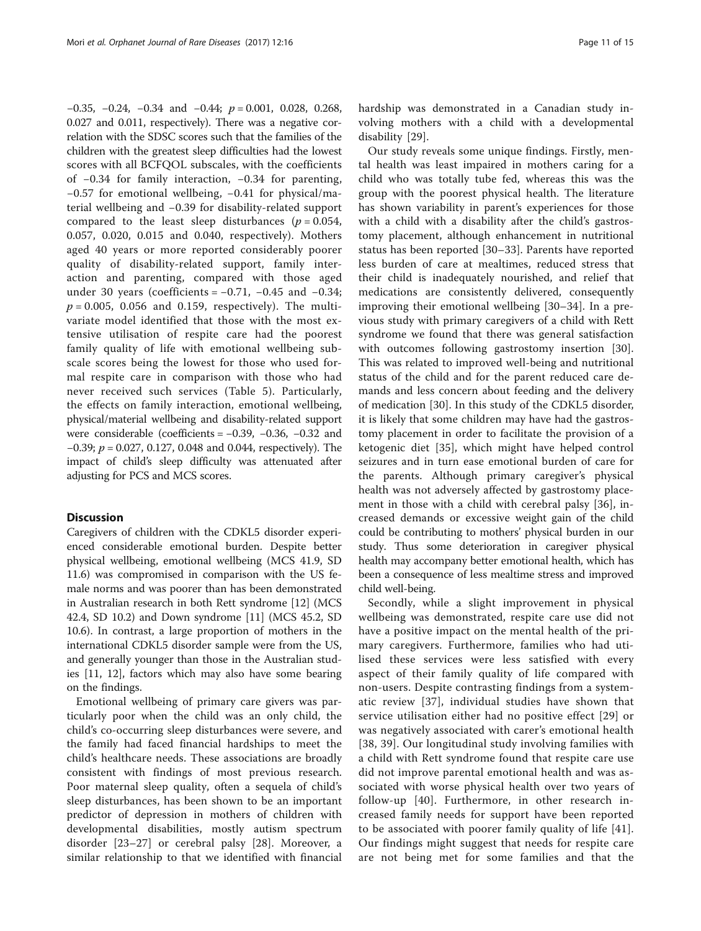−0.35, −0.24, −0.34 and −0.44; p = 0.001, 0.028, 0.268, 0.027 and 0.011, respectively). There was a negative correlation with the SDSC scores such that the families of the children with the greatest sleep difficulties had the lowest scores with all BCFQOL subscales, with the coefficients of −0.34 for family interaction, −0.34 for parenting, −0.57 for emotional wellbeing, −0.41 for physical/material wellbeing and −0.39 for disability-related support compared to the least sleep disturbances ( $p = 0.054$ , 0.057, 0.020, 0.015 and 0.040, respectively). Mothers aged 40 years or more reported considerably poorer quality of disability-related support, family interaction and parenting, compared with those aged under 30 years (coefficients =  $-0.71$ ,  $-0.45$  and  $-0.34$ ;  $p = 0.005$ , 0.056 and 0.159, respectively). The multivariate model identified that those with the most extensive utilisation of respite care had the poorest family quality of life with emotional wellbeing subscale scores being the lowest for those who used formal respite care in comparison with those who had never received such services (Table [5](#page-11-0)). Particularly, the effects on family interaction, emotional wellbeing, physical/material wellbeing and disability-related support were considerable (coefficients = −0.39, −0.36, −0.32 and −0.39; p = 0.027, 0.127, 0.048 and 0.044, respectively). The impact of child's sleep difficulty was attenuated after adjusting for PCS and MCS scores.

# **Discussion**

Caregivers of children with the CDKL5 disorder experienced considerable emotional burden. Despite better physical wellbeing, emotional wellbeing (MCS 41.9, SD 11.6) was compromised in comparison with the US female norms and was poorer than has been demonstrated in Australian research in both Rett syndrome [\[12](#page-13-0)] (MCS 42.4, SD 10.2) and Down syndrome [[11\]](#page-13-0) (MCS 45.2, SD 10.6). In contrast, a large proportion of mothers in the international CDKL5 disorder sample were from the US, and generally younger than those in the Australian studies [[11, 12\]](#page-13-0), factors which may also have some bearing on the findings.

Emotional wellbeing of primary care givers was particularly poor when the child was an only child, the child's co-occurring sleep disturbances were severe, and the family had faced financial hardships to meet the child's healthcare needs. These associations are broadly consistent with findings of most previous research. Poor maternal sleep quality, often a sequela of child's sleep disturbances, has been shown to be an important predictor of depression in mothers of children with developmental disabilities, mostly autism spectrum disorder [[23](#page-13-0)–[27\]](#page-13-0) or cerebral palsy [\[28](#page-13-0)]. Moreover, a similar relationship to that we identified with financial hardship was demonstrated in a Canadian study involving mothers with a child with a developmental disability [[29](#page-13-0)].

Our study reveals some unique findings. Firstly, mental health was least impaired in mothers caring for a child who was totally tube fed, whereas this was the group with the poorest physical health. The literature has shown variability in parent's experiences for those with a child with a disability after the child's gastrostomy placement, although enhancement in nutritional status has been reported [[30](#page-13-0)–[33\]](#page-13-0). Parents have reported less burden of care at mealtimes, reduced stress that their child is inadequately nourished, and relief that medications are consistently delivered, consequently improving their emotional wellbeing [[30](#page-13-0)–[34\]](#page-13-0). In a previous study with primary caregivers of a child with Rett syndrome we found that there was general satisfaction with outcomes following gastrostomy insertion [\[30](#page-13-0)]. This was related to improved well-being and nutritional status of the child and for the parent reduced care demands and less concern about feeding and the delivery of medication [\[30](#page-13-0)]. In this study of the CDKL5 disorder, it is likely that some children may have had the gastrostomy placement in order to facilitate the provision of a ketogenic diet [\[35](#page-13-0)], which might have helped control seizures and in turn ease emotional burden of care for the parents. Although primary caregiver's physical health was not adversely affected by gastrostomy placement in those with a child with cerebral palsy [[36\]](#page-13-0), increased demands or excessive weight gain of the child could be contributing to mothers' physical burden in our study. Thus some deterioration in caregiver physical health may accompany better emotional health, which has been a consequence of less mealtime stress and improved child well-being.

Secondly, while a slight improvement in physical wellbeing was demonstrated, respite care use did not have a positive impact on the mental health of the primary caregivers. Furthermore, families who had utilised these services were less satisfied with every aspect of their family quality of life compared with non-users. Despite contrasting findings from a systematic review [\[37\]](#page-13-0), individual studies have shown that service utilisation either had no positive effect [\[29\]](#page-13-0) or was negatively associated with carer's emotional health [[38](#page-13-0), [39\]](#page-13-0). Our longitudinal study involving families with a child with Rett syndrome found that respite care use did not improve parental emotional health and was associated with worse physical health over two years of follow-up [\[40\]](#page-13-0). Furthermore, in other research increased family needs for support have been reported to be associated with poorer family quality of life [[41](#page-13-0)]. Our findings might suggest that needs for respite care are not being met for some families and that the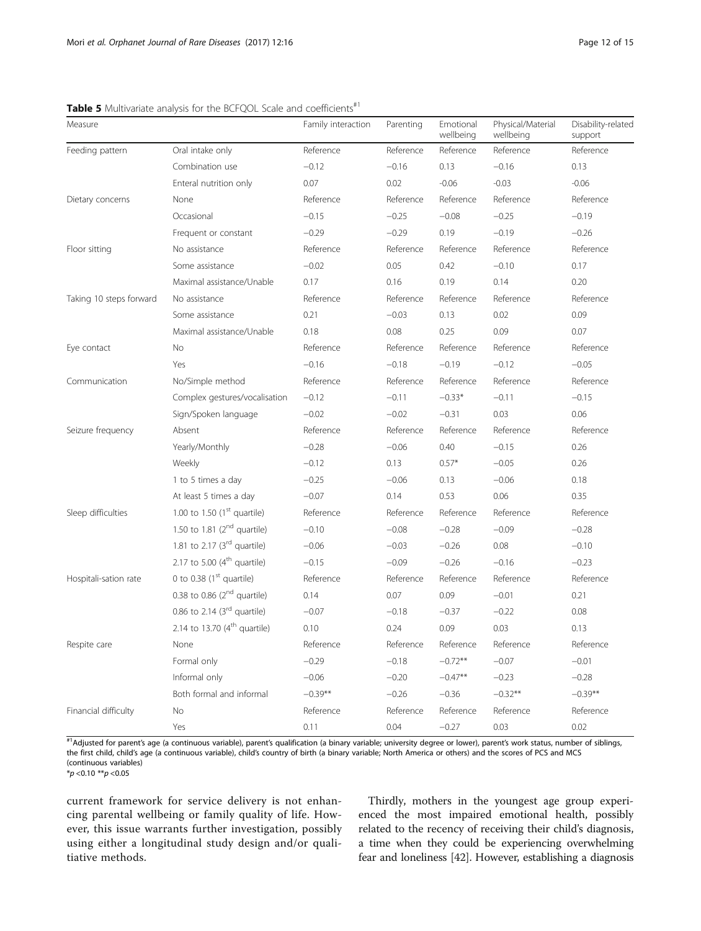| Measure                 |                                   | Family interaction | Parenting | Emotional<br>wellbeing | Physical/Material<br>wellbeing | Disability-related<br>support |
|-------------------------|-----------------------------------|--------------------|-----------|------------------------|--------------------------------|-------------------------------|
| Feeding pattern         | Oral intake only                  | Reference          | Reference | Reference              | Reference                      | Reference                     |
|                         | Combination use                   | $-0.12$            | $-0.16$   | 0.13                   | $-0.16$                        | 0.13                          |
|                         | Enteral nutrition only            | 0.07               | 0.02      | $-0.06$                | $-0.03$                        | $-0.06$                       |
| Dietary concerns        | None                              | Reference          | Reference | Reference              | Reference                      | Reference                     |
|                         | Occasional                        | $-0.15$            | $-0.25$   | $-0.08$                | $-0.25$                        | $-0.19$                       |
|                         | Frequent or constant              | $-0.29$            | $-0.29$   | 0.19                   | $-0.19$                        | $-0.26$                       |
| Floor sitting           | No assistance                     | Reference          | Reference | Reference              | Reference                      | Reference                     |
|                         | Some assistance                   | $-0.02$            | 0.05      | 0.42                   | $-0.10$                        | 0.17                          |
|                         | Maximal assistance/Unable         | 0.17               | 0.16      | 0.19                   | 0.14                           | 0.20                          |
| Taking 10 steps forward | No assistance                     | Reference          | Reference | Reference              | Reference                      | Reference                     |
|                         | Some assistance                   | 0.21               | $-0.03$   | 0.13                   | 0.02                           | 0.09                          |
|                         | Maximal assistance/Unable         | 0.18               | 0.08      | 0.25                   | 0.09                           | 0.07                          |
| Eye contact             | No                                | Reference          | Reference | Reference              | Reference                      | Reference                     |
|                         | Yes                               | $-0.16$            | $-0.18$   | $-0.19$                | $-0.12$                        | $-0.05$                       |
| Communication           | No/Simple method                  | Reference          | Reference | Reference              | Reference                      | Reference                     |
|                         | Complex gestures/vocalisation     | $-0.12$            | $-0.11$   | $-0.33*$               | $-0.11$                        | $-0.15$                       |
|                         | Sign/Spoken language              | $-0.02$            | $-0.02$   | $-0.31$                | 0.03                           | 0.06                          |
| Seizure frequency       | Absent                            | Reference          | Reference | Reference              | Reference                      | Reference                     |
|                         | Yearly/Monthly                    | $-0.28$            | $-0.06$   | 0.40                   | $-0.15$                        | 0.26                          |
|                         | Weekly                            | $-0.12$            | 0.13      | $0.57*$                | $-0.05$                        | 0.26                          |
|                         | 1 to 5 times a day                | $-0.25$            | $-0.06$   | 0.13                   | $-0.06$                        | 0.18                          |
|                         | At least 5 times a day            | $-0.07$            | 0.14      | 0.53                   | 0.06                           | 0.35                          |
| Sleep difficulties      | 1.00 to 1.50 $(1st$ quartile)     | Reference          | Reference | Reference              | Reference                      | Reference                     |
|                         | 1.50 to 1.81 $(2^{nd}$ quartile)  | $-0.10$            | $-0.08$   | $-0.28$                | $-0.09$                        | $-0.28$                       |
|                         | 1.81 to 2.17 $(3rd$ quartile)     | $-0.06$            | $-0.03$   | $-0.26$                | 0.08                           | $-0.10$                       |
|                         | 2.17 to 5.00 $(4th$ quartile)     | $-0.15$            | $-0.09$   | $-0.26$                | $-0.16$                        | $-0.23$                       |
| Hospitali-sation rate   | 0 to 0.38 $(1st$ quartile)        | Reference          | Reference | Reference              | Reference                      | Reference                     |
|                         | 0.38 to 0.86 $(2^{nd}$ quartile)  | 0.14               | 0.07      | 0.09                   | $-0.01$                        | 0.21                          |
|                         | 0.86 to 2.14 $(3rd$ quartile)     | $-0.07$            | $-0.18$   | $-0.37$                | $-0.22$                        | 0.08                          |
|                         | 2.14 to 13.70 $(4^{th}$ quartile) | 0.10               | 0.24      | 0.09                   | 0.03                           | 0.13                          |
| Respite care            | None                              | Reference          | Reference | Reference              | Reference                      | Reference                     |
|                         | Formal only                       | $-0.29$            | $-0.18$   | $-0.72**$              | $-0.07$                        | $-0.01$                       |
|                         | Informal only                     | $-0.06$            | $-0.20$   | $-0.47**$              | $-0.23$                        | $-0.28$                       |
|                         | Both formal and informal          | $-0.39**$          | $-0.26$   | $-0.36$                | $-0.32**$                      | $-0.39**$                     |
| Financial difficulty    | No                                | Reference          | Reference | Reference              | Reference                      | Reference                     |
|                         | Yes                               | 0.11               | 0.04      | $-0.27$                | 0.03                           | 0.02                          |

<span id="page-11-0"></span>Table 5 Multivariate analysis for the BCFQOL Scale and coefficients<sup>#1</sup>

#1Adjusted for parent's age (a continuous variable), parent's qualification (a binary variable; university degree or lower), parent's work status, number of siblings, the first child, child's age (a continuous variable), child's country of birth (a binary variable; North America or others) and the scores of PCS and MCS (continuous variables)

 $*_{p}$  < 0.10  $*_{p}$  < 0.05

current framework for service delivery is not enhancing parental wellbeing or family quality of life. However, this issue warrants further investigation, possibly using either a longitudinal study design and/or qualitiative methods.

Thirdly, mothers in the youngest age group experienced the most impaired emotional health, possibly related to the recency of receiving their child's diagnosis, a time when they could be experiencing overwhelming fear and loneliness [\[42\]](#page-13-0). However, establishing a diagnosis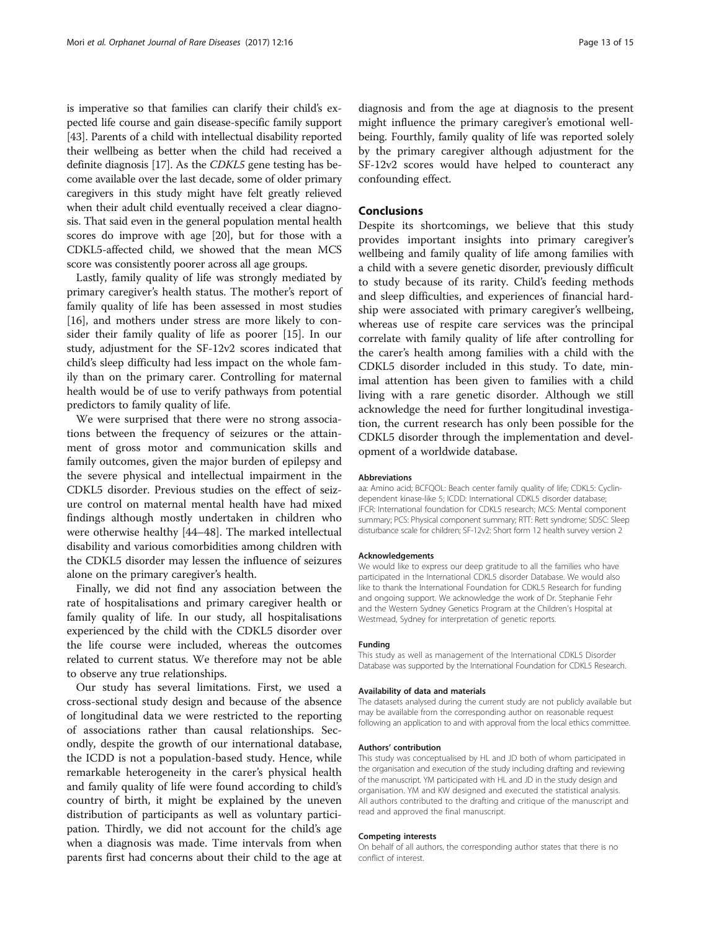is imperative so that families can clarify their child's expected life course and gain disease-specific family support [[43](#page-14-0)]. Parents of a child with intellectual disability reported their wellbeing as better when the child had received a definite diagnosis [[17\]](#page-13-0). As the CDKL5 gene testing has become available over the last decade, some of older primary caregivers in this study might have felt greatly relieved when their adult child eventually received a clear diagnosis. That said even in the general population mental health scores do improve with age [\[20\]](#page-13-0), but for those with a CDKL5-affected child, we showed that the mean MCS score was consistently poorer across all age groups.

Lastly, family quality of life was strongly mediated by primary caregiver's health status. The mother's report of family quality of life has been assessed in most studies [[16\]](#page-13-0), and mothers under stress are more likely to consider their family quality of life as poorer [\[15](#page-13-0)]. In our study, adjustment for the SF-12v2 scores indicated that child's sleep difficulty had less impact on the whole family than on the primary carer. Controlling for maternal health would be of use to verify pathways from potential predictors to family quality of life.

We were surprised that there were no strong associations between the frequency of seizures or the attainment of gross motor and communication skills and family outcomes, given the major burden of epilepsy and the severe physical and intellectual impairment in the CDKL5 disorder. Previous studies on the effect of seizure control on maternal mental health have had mixed findings although mostly undertaken in children who were otherwise healthy [[44](#page-14-0)–[48](#page-14-0)]. The marked intellectual disability and various comorbidities among children with the CDKL5 disorder may lessen the influence of seizures alone on the primary caregiver's health.

Finally, we did not find any association between the rate of hospitalisations and primary caregiver health or family quality of life. In our study, all hospitalisations experienced by the child with the CDKL5 disorder over the life course were included, whereas the outcomes related to current status. We therefore may not be able to observe any true relationships.

Our study has several limitations. First, we used a cross-sectional study design and because of the absence of longitudinal data we were restricted to the reporting of associations rather than causal relationships. Secondly, despite the growth of our international database, the ICDD is not a population-based study. Hence, while remarkable heterogeneity in the carer's physical health and family quality of life were found according to child's country of birth, it might be explained by the uneven distribution of participants as well as voluntary participation. Thirdly, we did not account for the child's age when a diagnosis was made. Time intervals from when parents first had concerns about their child to the age at diagnosis and from the age at diagnosis to the present might influence the primary caregiver's emotional wellbeing. Fourthly, family quality of life was reported solely by the primary caregiver although adjustment for the SF-12v2 scores would have helped to counteract any confounding effect.

# Conclusions

Despite its shortcomings, we believe that this study provides important insights into primary caregiver's wellbeing and family quality of life among families with a child with a severe genetic disorder, previously difficult to study because of its rarity. Child's feeding methods and sleep difficulties, and experiences of financial hardship were associated with primary caregiver's wellbeing, whereas use of respite care services was the principal correlate with family quality of life after controlling for the carer's health among families with a child with the CDKL5 disorder included in this study. To date, minimal attention has been given to families with a child living with a rare genetic disorder. Although we still acknowledge the need for further longitudinal investigation, the current research has only been possible for the CDKL5 disorder through the implementation and development of a worldwide database.

#### Abbreviations

aa: Amino acid; BCFQOL: Beach center family quality of life; CDKL5: Cyclindependent kinase-like 5; ICDD: International CDKL5 disorder database; IFCR: International foundation for CDKL5 research; MCS: Mental component summary; PCS: Physical component summary; RTT: Rett syndrome; SDSC: Sleep disturbance scale for children; SF-12v2: Short form 12 health survey version 2

#### Acknowledgements

We would like to express our deep gratitude to all the families who have participated in the International CDKL5 disorder Database. We would also like to thank the International Foundation for CDKL5 Research for funding and ongoing support. We acknowledge the work of Dr. Stephanie Fehr and the Western Sydney Genetics Program at the Children's Hospital at Westmead, Sydney for interpretation of genetic reports.

#### Funding

This study as well as management of the International CDKL5 Disorder Database was supported by the International Foundation for CDKL5 Research.

#### Availability of data and materials

The datasets analysed during the current study are not publicly available but may be available from the corresponding author on reasonable request following an application to and with approval from the local ethics committee.

#### Authors' contribution

This study was conceptualised by HL and JD both of whom participated in the organisation and execution of the study including drafting and reviewing of the manuscript. YM participated with HL and JD in the study design and organisation. YM and KW designed and executed the statistical analysis. All authors contributed to the drafting and critique of the manuscript and read and approved the final manuscript.

#### Competing interests

On behalf of all authors, the corresponding author states that there is no conflict of interest.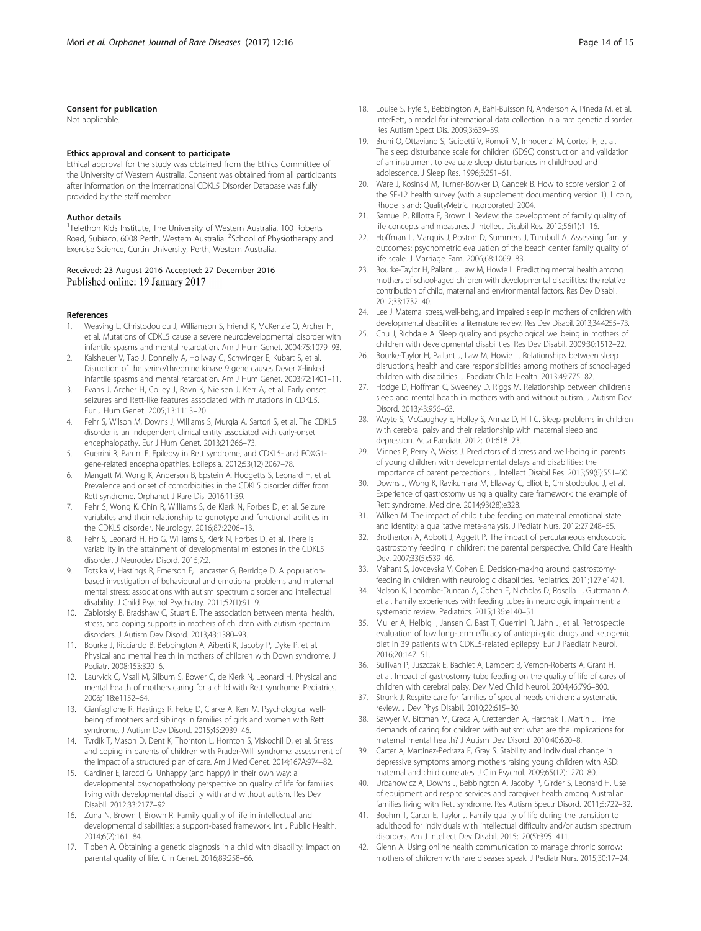### <span id="page-13-0"></span>Consent for publication

Not applicable.

#### Ethics approval and consent to participate

Ethical approval for the study was obtained from the Ethics Committee of the University of Western Australia. Consent was obtained from all participants after information on the International CDKL5 Disorder Database was fully provided by the staff member.

# Author details

<sup>1</sup>Telethon Kids Institute, The University of Western Australia, 100 Roberts Road, Subiaco, 6008 Perth, Western Australia. <sup>2</sup>School of Physiotherapy and Exercise Science, Curtin University, Perth, Western Australia.

# Received: 23 August 2016 Accepted: 27 December 2016 Published online: 19 January 2017

#### References

- 1. Weaving L, Christodoulou J, Williamson S, Friend K, McKenzie O, Archer H, et al. Mutations of CDKL5 cause a severe neurodevelopmental disorder with infantile spasms and mental retardation. Am J Hum Genet. 2004;75:1079–93.
- 2. Kalsheuer V, Tao J, Donnelly A, Hollway G, Schwinger E, Kubart S, et al. Disruption of the serine/threonine kinase 9 gene causes Dever X-linked infantile spasms and mental retardation. Am J Hum Genet. 2003;72:1401–11.
- 3. Evans J, Archer H, Colley J, Ravn K, Nielsen J, Kerr A, et al. Early onset seizures and Rett-like features associated with mutations in CDKL5. Eur J Hum Genet. 2005;13:1113–20.
- 4. Fehr S, Wilson M, Downs J, Williams S, Murgia A, Sartori S, et al. The CDKL5 disorder is an independent clinical entity associated with early-onset encephalopathy. Eur J Hum Genet. 2013;21:266–73.
- 5. Guerrini R, Parrini E. Epilepsy in Rett syndrome, and CDKL5- and FOXG1 gene-related encephalopathies. Epilepsia. 2012;53(12):2067–78.
- 6. Mangatt M, Wong K, Anderson B, Epstein A, Hodgetts S, Leonard H, et al. Prevalence and onset of comorbidities in the CDKL5 disorder differ from Rett syndrome. Orphanet J Rare Dis. 2016;11:39.
- 7. Fehr S, Wong K, Chin R, Williams S, de Klerk N, Forbes D, et al. Seizure variabiles and their relationship to genotype and functional abilities in the CDKL5 disorder. Neurology. 2016;87:2206–13.
- Fehr S, Leonard H, Ho G, Williams S, Klerk N, Forbes D, et al. There is variability in the attainment of developmental milestones in the CDKL5 disorder. J Neurodev Disord. 2015;7:2.
- Totsika V, Hastings R, Emerson E, Lancaster G, Berridge D. A populationbased investigation of behavioural and emotional problems and maternal mental stress: associations with autism spectrum disorder and intellectual disability. J Child Psychol Psychiatry. 2011;52(1):91–9.
- 10. Zablotsky B, Bradshaw C, Stuart E. The association between mental health, stress, and coping supports in mothers of children with autism spectrum disorders. J Autism Dev Disord. 2013;43:1380–93.
- 11. Bourke J, Ricciardo B, Bebbington A, Aiberti K, Jacoby P, Dyke P, et al. Physical and mental health in mothers of children with Down syndrome. J Pediatr. 2008;153:320–6.
- 12. Laurvick C, Msall M, Silburn S, Bower C, de Klerk N, Leonard H. Physical and mental health of mothers caring for a child with Rett syndrome. Pediatrics. 2006;118:e1152–64.
- 13. Cianfaglione R, Hastings R, Felce D, Clarke A, Kerr M. Psychological wellbeing of mothers and siblings in families of girls and women with Rett syndrome. J Autism Dev Disord. 2015;45:2939–46.
- 14. Tvrdik T, Mason D, Dent K, Thornton L, Hornton S, Viskochil D, et al. Stress and coping in parents of children with Prader-Willi syndrome: assessment of the impact of a structured plan of care. Am J Med Genet. 2014;167A:974–82.
- 15. Gardiner E, Iarocci G. Unhappy (and happy) in their own way: a developmental psychopathology perspective on quality of life for families living with developmental disability with and without autism. Res Dev Disabil. 2012;33:2177–92.
- 16. Zuna N, Brown I, Brown R. Family quality of life in intellectual and developmental disabilities: a support-based framework. Int J Public Health. 2014;6(2):161–84.
- 17. Tibben A. Obtaining a genetic diagnosis in a child with disability: impact on parental quality of life. Clin Genet. 2016;89:258–66.
- 18. Louise S, Fyfe S, Bebbington A, Bahi-Buisson N, Anderson A, Pineda M, et al. InterRett, a model for international data collection in a rare genetic disorder. Res Autism Spect Dis. 2009;3:639–59.
- 19. Bruni O, Ottaviano S, Guidetti V, Romoli M, Innocenzi M, Cortesi F, et al. The sleep disturbance scale for children (SDSC) construction and validation of an instrument to evaluate sleep disturbances in childhood and adolescence. J Sleep Res. 1996;5:251–61.
- 20. Ware J, Kosinski M, Turner-Bowker D, Gandek B. How to score version 2 of the SF-12 health survey (with a supplement documenting version 1). Licoln, Rhode Island: QualityMetric Incorporated; 2004.
- 21. Samuel P, Rillotta F, Brown I. Review: the development of family quality of life concepts and measures. J Intellect Disabil Res. 2012;56(1):1–16.
- 22. Hoffman L, Marquis J, Poston D, Summers J, Turnbull A. Assessing family outcomes: psychometric evaluation of the beach center family quality of life scale. J Marriage Fam. 2006;68:1069–83.
- 23. Bourke-Taylor H, Pallant J, Law M, Howie L. Predicting mental health among mothers of school-aged children with developmental disabilities: the relative contribution of child, maternal and environmental factors. Res Dev Disabil. 2012;33:1732–40.
- 24. Lee J. Maternal stress, well-being, and impaired sleep in mothers of children with developmental disabilities: a liternature review. Res Dev Disabil. 2013;34:4255–73.
- 25. Chu J, Richdale A. Sleep quality and psychological wellbeing in mothers of children with developmental disabilities. Res Dev Disabil. 2009;30:1512–22.
- 26. Bourke-Taylor H, Pallant J, Law M, Howie L. Relationships between sleep disruptions, health and care responsibilities among mothers of school-aged children with disabilities. J Paediatr Child Health. 2013;49:775–82.
- 27. Hodge D, Hoffman C, Sweeney D, Riggs M. Relationship between children's sleep and mental health in mothers with and without autism. J Autism Dev Disord. 2013;43:956–63.
- 28. Wayte S, McCaughey E, Holley S, Annaz D, Hill C. Sleep problems in children with cerebral palsy and their relationship with maternal sleep and depression. Acta Paediatr. 2012;101:618–23.
- 29. Minnes P, Perry A, Weiss J. Predictors of distress and well-being in parents of young children with developmental delays and disabilities: the importance of parent perceptions. J Intellect Disabil Res. 2015;59(6):551–60.
- 30. Downs J, Wong K, Ravikumara M, Ellaway C, Elliot E, Christodoulou J, et al. Experience of gastrostomy using a quality care framework: the example of Rett syndrome. Medicine. 2014;93(28):e328.
- 31. Wilken M. The impact of child tube feeding on maternal emotional state and identity: a qualitative meta-analysis. J Pediatr Nurs. 2012;27:248–55.
- 32. Brotherton A, Abbott J, Aggett P. The impact of percutaneous endoscopic gastrostomy feeding in children; the parental perspective. Child Care Health Dev. 2007;33(5):539–46.
- 33. Mahant S, Jovcevska V, Cohen E. Decision-making around gastrostomyfeeding in children with neurologic disabilities. Pediatrics. 2011;127:e1471.
- 34. Nelson K, Lacombe-Duncan A, Cohen E, Nicholas D, Rosella L, Guttmann A, et al. Family experiences with feeding tubes in neurologic impairment: a systematic review. Pediatrics. 2015;136:e140–51.
- 35. Muller A, Helbig I, Jansen C, Bast T, Guerrini R, Jahn J, et al. Retrospectie evaluation of low long-term efficacy of antiepileptic drugs and ketogenic diet in 39 patients with CDKL5-related epilepsy. Eur J Paediatr Neurol. 2016;20:147–51.
- 36. Sullivan P, Juszczak E, Bachlet A, Lambert B, Vernon-Roberts A, Grant H, et al. Impact of gastrostomy tube feeding on the quality of life of cares of children with cerebral palsy. Dev Med Child Neurol. 2004;46:796–800.
- 37. Strunk J. Respite care for families of special needs children: a systematic review. J Dev Phys Disabil. 2010;22:615–30.
- 38. Sawyer M, Bittman M, Greca A, Crettenden A, Harchak T, Martin J. Time demands of caring for children with autism: what are the implications for maternal mental health? J Autism Dev Disord. 2010;40:620–8.
- 39. Carter A, Martinez-Pedraza F, Gray S. Stability and individual change in depressive symptoms among mothers raising young children with ASD: maternal and child correlates. J Clin Psychol. 2009;65(12):1270–80.
- 40. Urbanowicz A, Downs J, Bebbington A, Jacoby P, Girder S, Leonard H. Use of equipment and respite services and caregiver health among Australian families living with Rett syndrome. Res Autism Spectr Disord. 2011;5:722–32.
- 41. Boehm T, Carter E, Taylor J. Family quality of life during the transition to adulthood for individuals with intellectual difficulty and/or autism spectrum disorders. Am J Intellect Dev Disabil. 2015;120(5):395–411.
- 42. Glenn A. Using online health communication to manage chronic sorrow: mothers of children with rare diseases speak. J Pediatr Nurs. 2015;30:17–24.